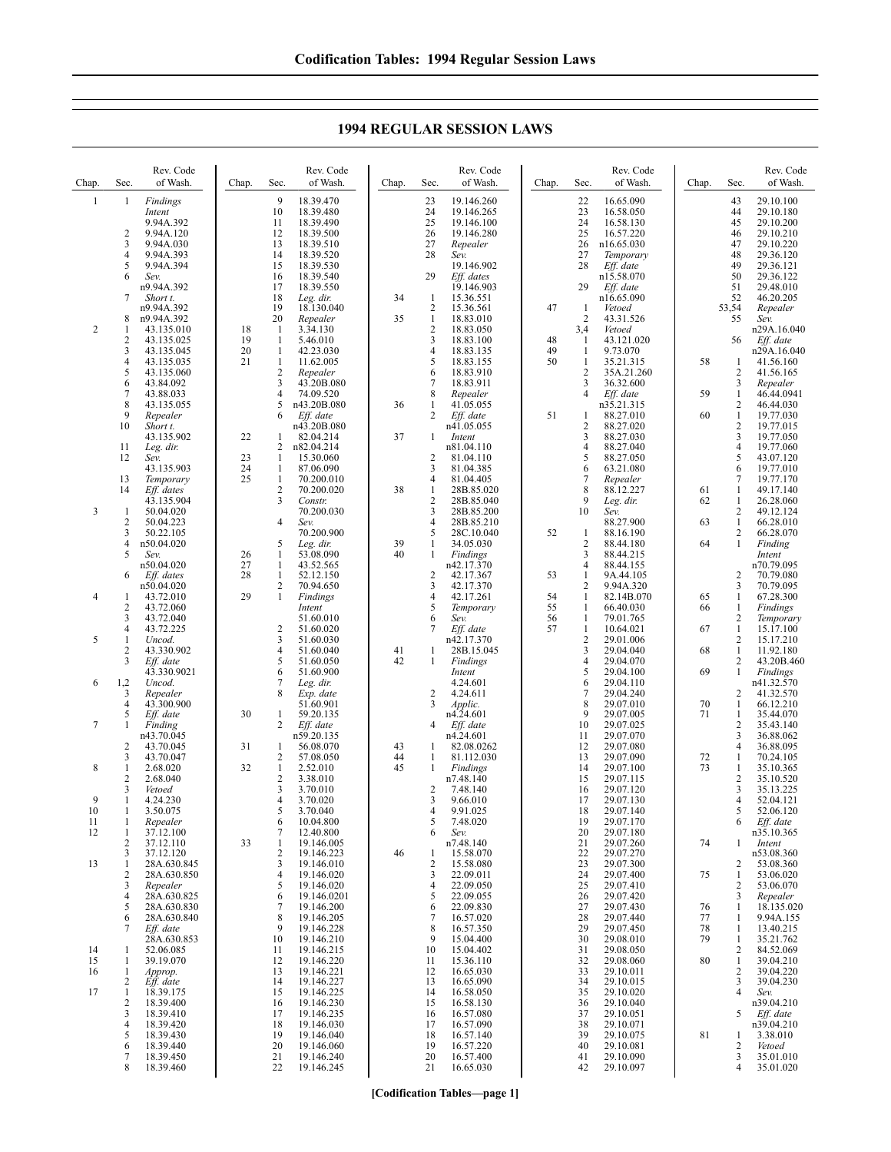**1994 REGULAR SESSION LAWS**

| Chap.          | Sec.                                                      | Rev. Code<br>of Wash.                                                                        | Chap.                | Sec.                                                          | Rev. Code<br>of Wash.                                                                          | Chap.    | Sec.                                                          | Rev. Code<br>of Wash.                                                                        | Chap.          | Sec.                                                          | Rev. Code<br>of Wash.                                                                    | Chap.                | Sec.                                                                     | Rev. Code<br>of Wash.                                                                     |
|----------------|-----------------------------------------------------------|----------------------------------------------------------------------------------------------|----------------------|---------------------------------------------------------------|------------------------------------------------------------------------------------------------|----------|---------------------------------------------------------------|----------------------------------------------------------------------------------------------|----------------|---------------------------------------------------------------|------------------------------------------------------------------------------------------|----------------------|--------------------------------------------------------------------------|-------------------------------------------------------------------------------------------|
| $\mathbf{1}$   | 1<br>2<br>3<br>4<br>5                                     | Findings<br>Intent<br>9.94A.392<br>9.94A.120<br>9.94A.030<br>9.94A.393<br>9.94A.394          |                      | 9<br>10<br>11<br>12<br>13<br>14<br>15                         | 18.39.470<br>18.39.480<br>18.39.490<br>18.39.500<br>18.39.510<br>18.39.520<br>18.39.530        |          | 23<br>24<br>25<br>26<br>27<br>28                              | 19.146.260<br>19.146.265<br>19.146.100<br>19.146.280<br>Repealer<br>Sev.<br>19.146.902       |                | 22<br>23<br>24<br>25<br>26<br>27<br>28                        | 16.65.090<br>16.58.050<br>16.58.130<br>16.57.220<br>n16.65.030<br>Temporary<br>Eff. date |                      | 43<br>44<br>45<br>46<br>47<br>48<br>49                                   | 29.10.100<br>29.10.180<br>29.10.200<br>29.10.210<br>29.10.220<br>29.36.120<br>29.36.121   |
| $\overline{2}$ | 6<br>7<br>8<br>1<br>$\overline{c}$                        | Sev.<br>n9.94A.392<br>Short t.<br>n9.94A.392<br>n9.94A.392<br>43.135.010                     | 18<br>19             | 16<br>17<br>18<br>19<br>20<br>-1<br>-1                        | 18.39.540<br>18.39.550<br>Leg. dir.<br>18.130.040<br>Repealer<br>3.34.130                      | 34<br>35 | 29<br>-1<br>2<br>$\mathbf{1}$<br>$\overline{\mathbf{c}}$<br>3 | Eff. dates<br>19.146.903<br>15.36.551<br>15.36.561<br>18.83.010<br>18.83.050                 | 47<br>48       | 29<br>1<br>2<br>3,4<br>1                                      | n15.58.070<br>Eff. date<br>n16.65.090<br>Vetoed<br>43.31.526<br>Vetoed<br>43.121.020     |                      | 50<br>51<br>52<br>53,54<br>55<br>56                                      | 29.36.122<br>29.48.010<br>46.20.205<br>Repealer<br>Sev.<br>n29A.16.040                    |
|                | 3<br>4<br>5<br>6<br>$\overline{7}$<br>8                   | 43.135.025<br>43.135.045<br>43.135.035<br>43.135.060<br>43.84.092<br>43.88.033<br>43.135.055 | 20<br>21             | $\mathbf{1}$<br>$\mathbf{1}$<br>2<br>3<br>$\overline{4}$<br>5 | 5.46.010<br>42.23.030<br>11.62.005<br>Repealer<br>43.20B.080<br>74.09.520<br>n43.20B.080       | 36       | 4<br>5<br>6<br>7<br>8<br>1                                    | 18.83.100<br>18.83.135<br>18.83.155<br>18.83.910<br>18.83.911<br>Repealer<br>41.05.055       | 49<br>50       | 1<br>1<br>2<br>3<br>4                                         | 9.73.070<br>35.21.315<br>35A.21.260<br>36.32.600<br>Eff. date<br>n35.21.315              | 58<br>59             | -1<br>$\overline{c}$<br>$\mathfrak{Z}$<br>$\mathbf{1}$<br>$\overline{c}$ | Eff. date<br>n29A.16.040<br>41.56.160<br>41.56.165<br>Repealer<br>46.44.0941<br>46.44.030 |
|                | 9<br>10<br>11<br>12                                       | Repealer<br>Short t.<br>43.135.902<br>Leg. dir.<br>Sev.<br>43.135.903                        | 22<br>23<br>24       | 6<br>1<br>2<br>1<br>$\mathbf{1}$                              | Eff. date<br>n43.20B.080<br>82.04.214<br>n82.04.214<br>15.30.060<br>87.06.090                  | 37       | 2<br>1<br>2<br>3                                              | Eff. date<br>n41.05.055<br>Intent<br>n81.04.110<br>81.04.110<br>81.04.385                    | 51             | 1<br>$\overline{2}$<br>3<br>4<br>5<br>6                       | 88.27.010<br>88.27.020<br>88.27.030<br>88.27.040<br>88.27.050<br>63.21.080               | 60                   | $\mathbf{1}$<br>$\overline{c}$<br>3<br>$\overline{4}$<br>5<br>6          | 19.77.030<br>19.77.015<br>19.77.050<br>19.77.060<br>43.07.120<br>19.77.010                |
| 3              | 13<br>14<br>1<br>$\overline{2}$<br>3<br>4                 | Temporary<br>Eff. dates<br>43.135.904<br>50.04.020<br>50.04.223<br>50.22.105<br>n50.04.020   | 25                   | $\mathbf{1}$<br>$\overline{2}$<br>3<br>4<br>5                 | 70.200.010<br>70.200.020<br>Constr.<br>70.200.030<br>Sev.<br>70.200.900<br>Leg. dir.           | 38<br>39 | 4<br>1<br>$\overline{2}$<br>3<br>$\overline{4}$<br>5<br>1     | 81.04.405<br>28B.85.020<br>28B.85.040<br>28B.85.200<br>28B.85.210<br>28C.10.040<br>34.05.030 | 52             | 7<br>8<br>9<br>10<br>1<br>2                                   | Repealer<br>88.12.227<br>Leg. dir.<br>Sev.<br>88.27.900<br>88.16.190<br>88.44.180        | 61<br>62<br>63<br>64 | 7<br>1<br>$\mathbf{1}$<br>$\overline{c}$<br>$\mathbf{1}$<br>2<br>1       | 19.77.170<br>49.17.140<br>26.28.060<br>49.12.124<br>66.28.010<br>66.28.070<br>Finding     |
| 4              | 5<br>6<br>1<br>$\overline{2}$                             | Sev.<br>n50.04.020<br>Eff. dates<br>n50.04.020<br>43.72.010<br>43.72.060                     | 26<br>27<br>28<br>29 | 1<br>$\mathbf{1}$<br>$\mathbf{1}$<br>2<br>1                   | 53.08.090<br>43.52.565<br>52.12.150<br>70.94.650<br>Findings<br>Intent                         | 40       | 1<br>2<br>3<br>4<br>5                                         | Findings<br>n42.17.370<br>42.17.367<br>42.17.370<br>42.17.261<br>Temporary                   | 53<br>54<br>55 | 3<br>4<br>1<br>2<br>1<br>1                                    | 88.44.215<br>88.44.155<br>9A.44.105<br>9.94A.320<br>82.14B.070<br>66.40.030              | 65<br>66             | $\overline{c}$<br>3<br>$\mathbf{1}$<br>1                                 | Intent<br>n70.79.095<br>70.79.080<br>70.79.095<br>67.28.300<br>Findings                   |
| 5              | 3<br>4<br>1<br>2<br>3                                     | 43.72.040<br>43.72.225<br>Uncod.<br>43.330.902<br>Eff. date<br>43.330.9021                   |                      | 2<br>3<br>$\overline{4}$<br>5<br>6<br>7                       | 51.60.010<br>51.60.020<br>51.60.030<br>51.60.040<br>51.60.050<br>51.60.900                     | 41<br>42 | 6<br>7<br>1<br>$\mathbf{1}$                                   | Sev.<br>Eff. date<br>n42.17.370<br>28B.15.045<br>Findings<br>Intent<br>4.24.601              | 56<br>57       | $\mathbf{1}$<br>$\mathbf{1}$<br>$\overline{2}$<br>3<br>4<br>5 | 79.01.765<br>10.64.021<br>29.01.006<br>29.04.040<br>29.04.070<br>29.04.100               | 67<br>68<br>69       | $\overline{c}$<br>$\mathbf{1}$<br>2<br>$\mathbf{1}$<br>2<br>$\mathbf{1}$ | Temporary<br>15.17.100<br>15.17.210<br>11.92.180<br>43.20B.460<br>Findings                |
| 6<br>7         | 1,2<br>3<br>4<br>5<br>1<br>$\overline{2}$                 | Uncod.<br>Repealer<br>43.300.900<br>Eff. date<br>Finding<br>n43.70.045<br>43.70.045          | 30<br>31             | 8<br>1<br>$\overline{2}$<br>1                                 | Leg. dir.<br>Exp. date<br>51.60.901<br>59.20.135<br>Eff. date<br>n59.20.135<br>56.08.070       | 43       | 2<br>3<br>4<br>-1                                             | 4.24.611<br>Applic.<br>n4.24.601<br>Eff. date<br>n4.24.601<br>82.08.0262                     |                | 6<br>7<br>8<br>9<br>10<br>11<br>12                            | 29.04.110<br>29.04.240<br>29.07.010<br>29.07.005<br>29.07.025<br>29.07.070<br>29.07.080  | 70<br>71             | 2<br>1<br>1<br>$\overline{c}$<br>3<br>$\overline{4}$                     | n41.32.570<br>41.32.570<br>66.12.210<br>35.44.070<br>35.43.140<br>36.88.062<br>36.88.095  |
| 8<br>9<br>10   | 3<br>1<br>$\overline{2}$<br>3<br>1<br>1                   | 43.70.047<br>2.68.020<br>2.68.040<br>Vetoed<br>4.24.230<br>3.50.075                          | 32                   | 2<br>$\mathbf{1}$<br>2<br>3<br>4<br>5                         | 57.08.050<br>2.52.010<br>3.38.010<br>3.70.010<br>3.70.020<br>3.70.040                          | 44<br>45 | 1<br>1<br>2<br>3<br>4                                         | 81.112.030<br><b>Findings</b><br>n7.48.140<br>7.48.140<br>9.66.010<br>9.91.025               |                | 13<br>14<br>15<br>16<br>17<br>18                              | 29.07.090<br>29.07.100<br>29.07.115<br>29.07.120<br>29.07.130<br>29.07.140               | 72<br>73             | $\mathbf{1}$<br>1<br>$\overline{c}$<br>$\overline{\mathbf{3}}$<br>4<br>5 | 70.24.105<br>35.10.365<br>35.10.520<br>35.13.225<br>52.04.121<br>52.06.120                |
| 11<br>12<br>13 | 1<br>1<br>$\overline{2}$<br>3<br>1<br>$\overline{2}$<br>3 | Repealer<br>37.12.100<br>37.12.110<br>37.12.120<br>28A.630.845<br>28A.630.850<br>Repealer    | 33                   | 6<br>7<br>1<br>2<br>3<br>4<br>5                               | 10.04.800<br>12.40.800<br>19.146.005<br>19.146.223<br>19.146.010<br>19.146.020<br>19.146.020   | 46       | 5<br>6<br>1<br>$\overline{2}$<br>3<br>$\overline{4}$          | 7.48.020<br>Sev.<br>n7.48.140<br>15.58.070<br>15.58.080<br>22.09.011<br>22.09.050            |                | 19<br>20<br>21<br>22<br>23<br>24<br>25                        | 29.07.170<br>29.07.180<br>29.07.260<br>29.07.270<br>29.07.300<br>29.07.400<br>29.07.410  | 74<br>75             | 6<br>1<br>2<br>1<br>$\overline{c}$                                       | Eff. date<br>n35.10.365<br>Intent<br>n53.08.360<br>53.08.360<br>53.06.020<br>53.06.070    |
| 14             | 4<br>5<br>6<br>7<br>1                                     | 28A.630.825<br>28A.630.830<br>28A.630.840<br>Eff. date<br>28A.630.853<br>52.06.085           |                      | 6<br>7<br>8<br>9<br>10<br>11                                  | 19.146.0201<br>19.146.200<br>19.146.205<br>19.146.228<br>19.146.210<br>19.146.215              |          | 5<br>6<br>7<br>8<br>9<br>10                                   | 22.09.055<br>22.09.830<br>16.57.020<br>16.57.350<br>15.04.400<br>15.04.402                   |                | 26<br>27<br>28<br>29<br>30<br>31                              | 29.07.420<br>29.07.430<br>29.07.440<br>29.07.450<br>29.08.010<br>29.08.050               | 76<br>77<br>78<br>79 | 3<br>1<br>1<br>1<br>1<br>$\overline{c}$                                  | Repealer<br>18.135.020<br>9.94A.155<br>13.40.215<br>35.21.762<br>84.52.069                |
| 15<br>16<br>17 | 1<br>1<br>2<br>1<br>$\overline{c}$<br>3<br>4              | 39.19.070<br>Approp.<br>Eff. date<br>18.39.175<br>18.39.400<br>18.39.410<br>18.39.420        |                      | 12<br>13<br>14<br>15<br>16<br>17<br>18                        | 19.146.220<br>19.146.221<br>19.146.227<br>19.146.225<br>19.146.230<br>19.146.235<br>19.146.030 |          | 11<br>12<br>13<br>14<br>15<br>16<br>17                        | 15.36.110<br>16.65.030<br>16.65.090<br>16.58.050<br>16.58.130<br>16.57.080<br>16.57.090      |                | 32<br>33<br>34<br>35<br>36<br>37<br>38                        | 29.08.060<br>29.10.011<br>29.10.015<br>29.10.020<br>29.10.040<br>29.10.051<br>29.10.071  | 80                   | $\mathbf{1}$<br>$\overline{c}$<br>3<br>$\overline{4}$<br>5               | 39.04.210<br>39.04.220<br>39.04.230<br>Sev.<br>n39.04.210<br>Eff. date<br>n39.04.210      |
|                | 5<br>6<br>7<br>8                                          | 18.39.430<br>18.39.440<br>18.39.450<br>18.39.460                                             |                      | 19<br>20<br>21<br>22                                          | 19.146.040<br>19.146.060<br>19.146.240<br>19.146.245                                           |          | 18<br>19<br>20<br>21                                          | 16.57.140<br>16.57.220<br>16.57.400<br>16.65.030                                             |                | 39<br>40<br>41<br>42                                          | 29.10.075<br>29.10.081<br>29.10.090<br>29.10.097                                         | 81                   | -1<br>$\sqrt{2}$<br>3<br>4                                               | 3.38.010<br>Vetoed<br>35.01.010<br>35.01.020                                              |

**[Codification Tables—page 1]**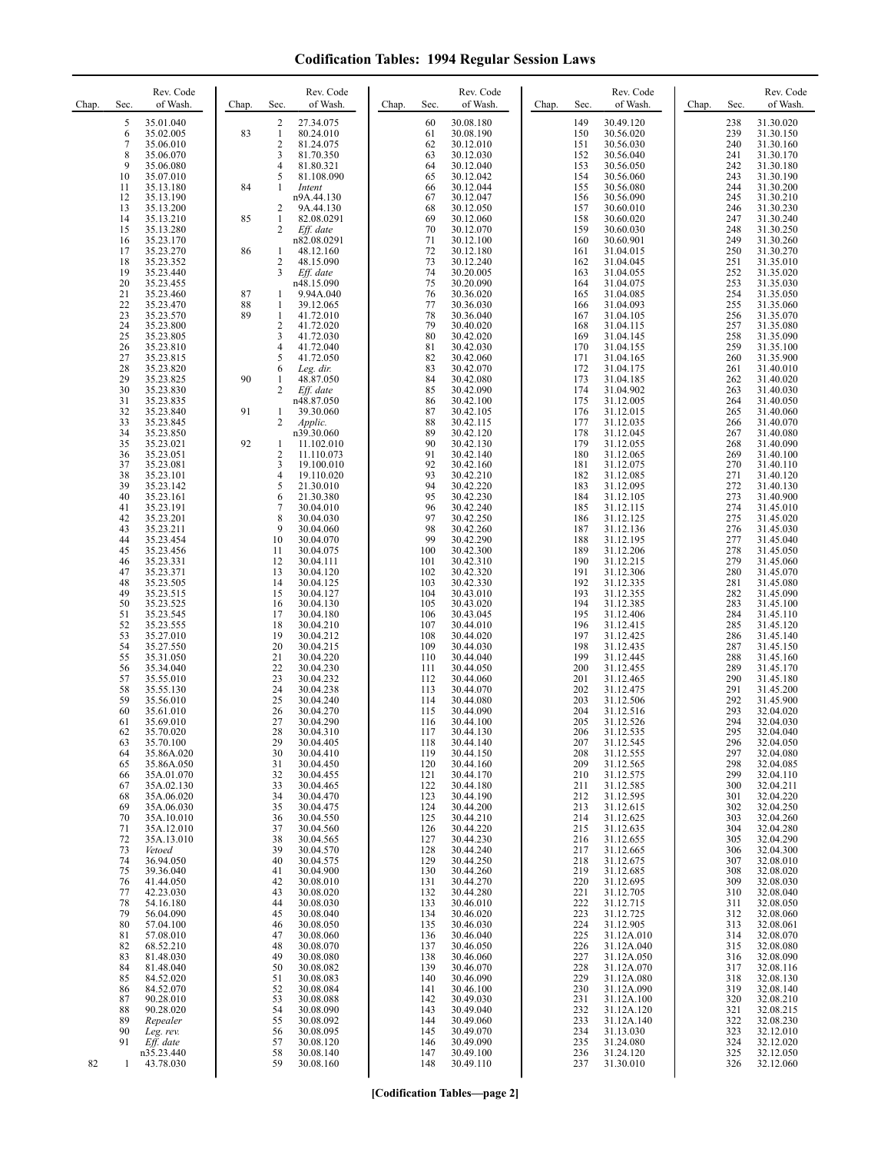| Chap. | Sec.        | Rev. Code<br>of Wash.    | Chap. | Sec.                         | Rev. Code<br>of Wash.    | Chap. | Sec.       | Rev. Code<br>of Wash.  | Chap. | Sec.       | Rev. Code<br>of Wash.    | Chap. | Sec.       | Rev. Code<br>of Wash.  |
|-------|-------------|--------------------------|-------|------------------------------|--------------------------|-------|------------|------------------------|-------|------------|--------------------------|-------|------------|------------------------|
|       | 5           | 35.01.040                |       | 2                            | 27.34.075                |       | 60         | 30.08.180              |       | 149        | 30.49.120                |       | 238        | 31.30.020              |
|       | 6           | 35.02.005                | 83    | $\mathbf{1}$                 | 80.24.010                |       | 61         | 30.08.190              |       | 150        | 30.56.020                |       | 239        | 31.30.150              |
|       | $\tau$<br>8 | 35.06.010<br>35.06.070   |       | $\overline{\mathbf{c}}$<br>3 | 81.24.075<br>81.70.350   |       | 62<br>63   | 30.12.010<br>30.12.030 |       | 151<br>152 | 30.56.030<br>30.56.040   |       | 240<br>241 | 31.30.160<br>31.30.170 |
|       | 9           | 35.06.080                |       | 4                            | 81.80.321                |       | 64         | 30.12.040              |       | 153        | 30.56.050                |       | 242        | 31.30.180              |
|       | 10          | 35.07.010                |       | 5                            | 81.108.090               |       | 65         | 30.12.042              |       | 154        | 30.56.060                |       | 243        | 31.30.190              |
|       | 11          | 35.13.180                | 84    | 1                            | Intent                   |       | 66         | 30.12.044              |       | 155        | 30.56.080                |       | 244        | 31.30.200              |
|       | 12<br>13    | 35.13.190<br>35.13.200   |       | 2                            | n9A.44.130<br>9A.44.130  |       | 67<br>68   | 30.12.047<br>30.12.050 |       | 156<br>157 | 30.56.090<br>30.60.010   |       | 245<br>246 | 31.30.210<br>31.30.230 |
|       | 14          | 35.13.210                | 85    | 1                            | 82.08.0291               |       | 69         | 30.12.060              |       | 158        | 30.60.020                |       | 247        | 31.30.240              |
|       | 15          | 35.13.280                |       | 2                            | Eff. date                |       | 70         | 30.12.070              |       | 159        | 30.60.030                |       | 248        | 31.30.250              |
|       | 16<br>17    | 35.23.170<br>35.23.270   | 86    | 1                            | n82.08.0291<br>48.12.160 |       | 71<br>72   | 30.12.100<br>30.12.180 |       | 160<br>161 | 30.60.901<br>31.04.015   |       | 249<br>250 | 31.30.260<br>31.30.270 |
|       | 18          | 35.23.352                |       | $\overline{\mathbf{c}}$      | 48.15.090                |       | 73         | 30.12.240              |       | 162        | 31.04.045                |       | 251        | 31.35.010              |
|       | 19          | 35.23.440                |       | 3                            | Eff. date                |       | 74         | 30.20.005              |       | 163        | 31.04.055                |       | 252        | 31.35.020              |
|       | 20<br>21    | 35.23.455<br>35.23.460   | 87    | 1                            | n48.15.090<br>9.94A.040  |       | 75<br>76   | 30.20.090<br>30.36.020 |       | 164<br>165 | 31.04.075<br>31.04.085   |       | 253<br>254 | 31.35.030<br>31.35.050 |
|       | 22          | 35.23.470                | 88    | 1                            | 39.12.065                |       | 77         | 30.36.030              |       | 166        | 31.04.093                |       | 255        | 31.35.060              |
|       | 23          | 35.23.570                | 89    | 1                            | 41.72.010                |       | 78         | 30.36.040              |       | 167        | 31.04.105                |       | 256        | 31.35.070              |
|       | 24<br>25    | 35.23.800<br>35.23.805   |       | 2<br>3                       | 41.72.020<br>41.72.030   |       | 79<br>80   | 30.40.020<br>30.42.020 |       | 168<br>169 | 31.04.115<br>31.04.145   |       | 257<br>258 | 31.35.080<br>31.35.090 |
|       | 26          | 35.23.810                |       | 4                            | 41.72.040                |       | 81         | 30.42.030              |       | 170        | 31.04.155                |       | 259        | 31.35.100              |
|       | 27          | 35.23.815                |       | 5                            | 41.72.050                |       | 82         | 30.42.060              |       | 171        | 31.04.165                |       | 260        | 31.35.900              |
|       | 28<br>29    | 35.23.820<br>35.23.825   | 90    | 6<br>$\mathbf{1}$            | Leg. dir.<br>48.87.050   |       | 83<br>84   | 30.42.070<br>30.42.080 |       | 172<br>173 | 31.04.175<br>31.04.185   |       | 261<br>262 | 31.40.010<br>31.40.020 |
|       | 30          | 35.23.830                |       | 2                            | Eff. date                |       | 85         | 30.42.090              |       | 174        | 31.04.902                |       | 263        | 31.40.030              |
|       | 31          | 35.23.835                |       |                              | n48.87.050               |       | 86         | 30.42.100              |       | 175        | 31.12.005                |       | 264        | 31.40.050              |
|       | 32<br>33    | 35.23.840<br>35.23.845   | 91    | 1<br>2                       | 39.30.060<br>Applic.     |       | 87<br>88   | 30.42.105<br>30.42.115 |       | 176<br>177 | 31.12.015<br>31.12.035   |       | 265<br>266 | 31.40.060<br>31.40.070 |
|       | 34          | 35.23.850                |       |                              | n39.30.060               |       | 89         | 30.42.120              |       | 178        | 31.12.045                |       | 267        | 31.40.080              |
|       | 35          | 35.23.021                | 92    | 1                            | 11.102.010               |       | 90         | 30.42.130              |       | 179        | 31.12.055                |       | 268        | 31.40.090              |
|       | 36<br>37    | 35.23.051<br>35.23.081   |       | 2<br>3                       | 11.110.073               |       | 91<br>92   | 30.42.140<br>30.42.160 |       | 180<br>181 | 31.12.065                |       | 269<br>270 | 31.40.100              |
|       | 38          | 35.23.101                |       | 4                            | 19.100.010<br>19.110.020 |       | 93         | 30.42.210              |       | 182        | 31.12.075<br>31.12.085   |       | 271        | 31.40.110<br>31.40.120 |
|       | 39          | 35.23.142                |       | 5                            | 21.30.010                |       | 94         | 30.42.220              |       | 183        | 31.12.095                |       | 272        | 31.40.130              |
|       | 40<br>41    | 35.23.161                |       | 6<br>7                       | 21.30.380<br>30.04.010   |       | 95<br>96   | 30.42.230<br>30.42.240 |       | 184<br>185 | 31.12.105                |       | 273<br>274 | 31.40.900<br>31.45.010 |
|       | 42          | 35.23.191<br>35.23.201   |       | 8                            | 30.04.030                |       | 97         | 30.42.250              |       | 186        | 31.12.115<br>31.12.125   |       | 275        | 31.45.020              |
|       | 43          | 35.23.211                |       | 9                            | 30.04.060                |       | 98         | 30.42.260              |       | 187        | 31.12.136                |       | 276        | 31.45.030              |
|       | 44<br>45    | 35.23.454                |       | 10                           | 30.04.070<br>30.04.075   |       | 99<br>100  | 30.42.290              |       | 188<br>189 | 31.12.195                |       | 277<br>278 | 31.45.040              |
|       | 46          | 35.23.456<br>35.23.331   |       | 11<br>12                     | 30.04.111                |       | 101        | 30.42.300<br>30.42.310 |       | 190        | 31.12.206<br>31.12.215   |       | 279        | 31.45.050<br>31.45.060 |
|       | 47          | 35.23.371                |       | 13                           | 30.04.120                |       | 102        | 30.42.320              |       | 191        | 31.12.306                |       | 280        | 31.45.070              |
|       | 48          | 35.23.505                |       | 14                           | 30.04.125                |       | 103<br>104 | 30.42.330              |       | 192<br>193 | 31.12.335                |       | 281        | 31.45.080              |
|       | 49<br>50    | 35.23.515<br>35.23.525   |       | 15<br>16                     | 30.04.127<br>30.04.130   |       | 105        | 30.43.010<br>30.43.020 |       | 194        | 31.12.355<br>31.12.385   |       | 282<br>283 | 31.45.090<br>31.45.100 |
|       | 51          | 35.23.545                |       | 17                           | 30.04.180                |       | 106        | 30.43.045              |       | 195        | 31.12.406                |       | 284        | 31.45.110              |
|       | 52          | 35.23.555                |       | 18<br>19                     | 30.04.210                |       | 107<br>108 | 30.44.010              |       | 196<br>197 | 31.12.415                |       | 285<br>286 | 31.45.120              |
|       | 53<br>54    | 35.27.010<br>35.27.550   |       | 20                           | 30.04.212<br>30.04.215   |       | 109        | 30.44.020<br>30.44.030 |       | 198        | 31.12.425<br>31.12.435   |       | 287        | 31.45.140<br>31.45.150 |
|       | 55          | 35.31.050                |       | 21                           | 30.04.220                |       | 110        | 30.44.040              |       | 199        | 31.12.445                |       | 288        | 31.45.160              |
|       | 56<br>57    | 35.34.040<br>35.55.010   |       | 22<br>23                     | 30.04.230<br>30.04.232   |       | 111<br>112 | 30.44.050<br>30.44.060 |       | 200<br>201 | 31.12.455<br>31.12.465   |       | 289<br>290 | 31.45.170<br>31.45.180 |
|       | 58          | 35.55.130                |       | 24                           | 30.04.238                |       | 113        | 30.44.070              |       | 202        | 31.12.475                |       | 291        | 31.45.200              |
|       | 59          | 35.56.010                |       | 25                           | 30.04.240                |       | 114        | 30.44.080              |       | 203        | 31.12.506                |       | 292        | 31.45.900              |
|       | 60<br>61    | 35.61.010<br>35.69.010   |       | 26<br>27                     | 30.04.270<br>30.04.290   |       | 115<br>116 | 30.44.090<br>30.44.100 |       | 204<br>205 | 31.12.516<br>31.12.526   |       | 293<br>294 | 32.04.020<br>32.04.030 |
|       | 62          | 35.70.020                |       | 28                           | 30.04.310                |       | 117        | 30.44.130              |       | 206        | 31.12.535                |       | 295        | 32.04.040              |
|       | 63          | 35.70.100                |       | 29                           | 30.04.405                |       | 118        | 30.44.140              |       | 207        | 31.12.545                |       | 296        | 32.04.050              |
|       | 64<br>65    | 35.86A.020<br>35.86A.050 |       | 30<br>31                     | 30.04.410<br>30.04.450   |       | 119<br>120 | 30.44.150<br>30.44.160 |       | 208<br>209 | 31.12.555<br>31.12.565   |       | 297<br>298 | 32.04.080<br>32.04.085 |
|       | 66          | 35A.01.070               |       | 32                           | 30.04.455                |       | 121        | 30.44.170              |       | 210        | 31.12.575                |       | 299        | 32.04.110              |
|       | 67          | 35A.02.130               |       | 33                           | 30.04.465                |       | 122        | 30.44.180              |       | 211        | 31.12.585                |       | 300        | 32.04.211              |
|       | 68<br>69    | 35A.06.020<br>35A.06.030 |       | 34<br>35                     | 30.04.470<br>30.04.475   |       | 123<br>124 | 30.44.190<br>30.44.200 |       | 212<br>213 | 31.12.595<br>31.12.615   |       | 301<br>302 | 32.04.220<br>32.04.250 |
|       | 70          | 35A.10.010               |       | 36                           | 30.04.550                |       | 125        | 30.44.210              |       | 214        | 31.12.625                |       | 303        | 32.04.260              |
|       | 71          | 35A.12.010               |       | 37                           | 30.04.560                |       | 126        | 30.44.220              |       | 215        | 31.12.635                |       | 304        | 32.04.280              |
|       | 72<br>73    | 35A.13.010<br>Vetoed     |       | 38<br>39                     | 30.04.565<br>30.04.570   |       | 127<br>128 | 30.44.230<br>30.44.240 |       | 216<br>217 | 31.12.655<br>31.12.665   |       | 305<br>306 | 32.04.290<br>32.04.300 |
|       | 74          | 36.94.050                |       | 40                           | 30.04.575                |       | 129        | 30.44.250              |       | 218        | 31.12.675                |       | 307        | 32.08.010              |
|       | 75          | 39.36.040                |       | 41                           | 30.04.900                |       | 130        | 30.44.260              |       | 219        | 31.12.685                |       | 308        | 32.08.020              |
|       | 76<br>77    | 41.44.050<br>42.23.030   |       | 42<br>43                     | 30.08.010<br>30.08.020   |       | 131<br>132 | 30.44.270<br>30.44.280 |       | 220<br>221 | 31.12.695<br>31.12.705   |       | 309<br>310 | 32.08.030<br>32.08.040 |
|       | 78          | 54.16.180                |       | 44                           | 30.08.030                |       | 133        | 30.46.010              |       | 222        | 31.12.715                |       | 311        | 32.08.050              |
|       | 79          | 56.04.090                |       | 45                           | 30.08.040                |       | 134        | 30.46.020              |       | 223        | 31.12.725                |       | 312        | 32.08.060              |
|       | 80<br>81    | 57.04.100<br>57.08.010   |       | 46<br>47                     | 30.08.050<br>30.08.060   |       | 135<br>136 | 30.46.030<br>30.46.040 |       | 224<br>225 | 31.12.905<br>31.12A.010  |       | 313<br>314 | 32.08.061<br>32.08.070 |
|       | 82          | 68.52.210                |       | 48                           | 30.08.070                |       | 137        | 30.46.050              |       | 226        | 31.12A.040               |       | 315        | 32.08.080              |
|       | 83          | 81.48.030                |       | 49                           | 30.08.080                |       | 138        | 30.46.060              |       | 227        | 31.12A.050               |       | 316        | 32.08.090              |
|       | 84<br>85    | 81.48.040<br>84.52.020   |       | 50<br>51                     | 30.08.082<br>30.08.083   |       | 139<br>140 | 30.46.070<br>30.46.090 |       | 228<br>229 | 31.12A.070<br>31.12A.080 |       | 317<br>318 | 32.08.116<br>32.08.130 |
|       | 86          | 84.52.070                |       | 52                           | 30.08.084                |       | 141        | 30.46.100              |       | 230        | 31.12A.090               |       | 319        | 32.08.140              |
|       | 87          | 90.28.010                |       | 53                           | 30.08.088                |       | 142        | 30.49.030              |       | 231        | 31.12A.100               |       | 320        | 32.08.210              |
|       | 88<br>89    | 90.28.020<br>Repealer    |       | 54<br>55                     | 30.08.090<br>30.08.092   |       | 143<br>144 | 30.49.040<br>30.49.060 |       | 232<br>233 | 31.12A.120<br>31.12A.140 |       | 321<br>322 | 32.08.215<br>32.08.230 |
|       | 90          | Leg. rev.                |       | 56                           | 30.08.095                |       | 145        | 30.49.070              |       | 234        | 31.13.030                |       | 323        | 32.12.010              |
|       | 91          | Eff. date                |       | 57                           | 30.08.120                |       | 146        | 30.49.090              |       | 235        | 31.24.080                |       | 324        | 32.12.020              |
| 82    | 1           | n35.23.440<br>43.78.030  |       | 58<br>59                     | 30.08.140<br>30.08.160   |       | 147<br>148 | 30.49.100<br>30.49.110 |       | 236<br>237 | 31.24.120<br>31.30.010   |       | 325<br>326 | 32.12.050<br>32.12.060 |
|       |             |                          |       |                              |                          |       |            |                        |       |            |                          |       |            |                        |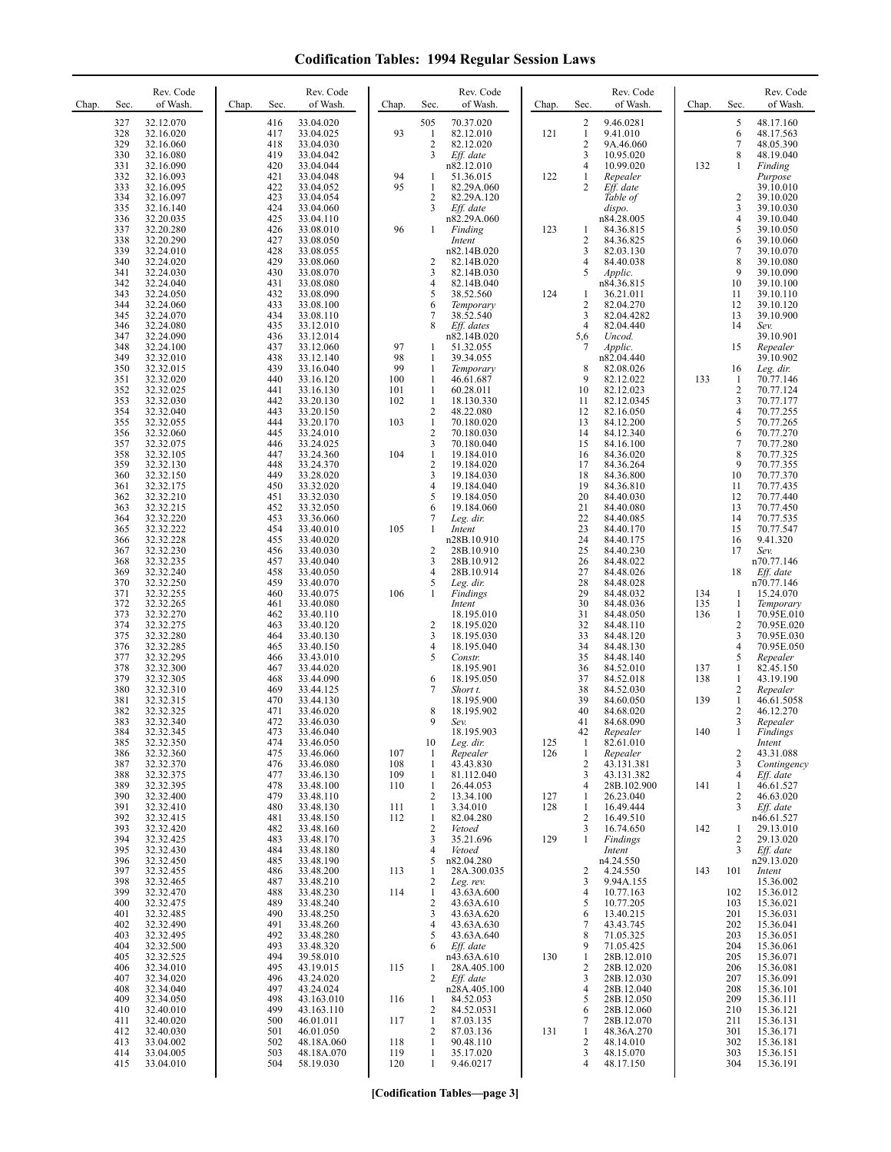| Chap. | Sec.                            | Rev. Code<br>of Wash.                                         | Chap. | Sec.                            | Rev. Code<br>of Wash.                                           | Chap.                    | Sec.                                          | Rev. Code<br>of Wash.                                         | Chap.      | Sec.                                                       | Rev. Code<br>of Wash.                                           | Chap.      | Sec.                                              | Rev. Code<br>of Wash.                                         |
|-------|---------------------------------|---------------------------------------------------------------|-------|---------------------------------|-----------------------------------------------------------------|--------------------------|-----------------------------------------------|---------------------------------------------------------------|------------|------------------------------------------------------------|-----------------------------------------------------------------|------------|---------------------------------------------------|---------------------------------------------------------------|
|       | 327<br>328<br>329<br>330        | 32.12.070<br>32.16.020<br>32.16.060<br>32.16.080              |       | 416<br>417<br>418<br>419        | 33.04.020<br>33.04.025<br>33.04.030<br>33.04.042                | 93                       | 505<br>$\mathbf{1}$<br>2<br>3                 | 70.37.020<br>82.12.010<br>82.12.020<br>Eff. date              | 121        | 2<br>$\mathbf{1}$<br>$\sqrt{2}$<br>$\overline{\mathbf{3}}$ | 9.46.0281<br>9.41.010<br>9A.46.060<br>10.95.020                 |            | 5<br>6<br>$\tau$<br>8                             | 48.17.160<br>48.17.563<br>48.05.390<br>48.19.040              |
|       | 331<br>332<br>333               | 32.16.090<br>32.16.093<br>32.16.095                           |       | 420<br>421<br>422               | 33.04.044<br>33.04.048<br>33.04.052                             | 94<br>95                 | 1<br>1                                        | n82.12.010<br>51.36.015<br>82.29A.060                         | 122        | 4<br>1<br>2                                                | 10.99.020<br>Repealer<br>$Eff.$ date                            | 132        | $\mathbf{1}$                                      | Finding<br>Purpose<br>39.10.010                               |
|       | 334<br>335<br>336<br>337        | 32.16.097<br>32.16.140<br>32.20.035<br>32.20.280              |       | 423<br>424<br>425<br>426        | 33.04.054<br>33.04.060<br>33.04.110<br>33.08.010                | 96                       | $\overline{c}$<br>3<br>1                      | 82.29A.120<br>Eff. date<br>n82.29A.060<br>Finding             | 123        | 1                                                          | Table of<br>dispo.<br>n84.28.005<br>84.36.815                   |            | 2<br>3<br>4<br>5                                  | 39.10.020<br>39.10.030<br>39.10.040<br>39.10.050              |
|       | 338<br>339<br>340<br>341        | 32.20.290<br>32.24.010<br>32.24.020<br>32.24.030              |       | 427<br>428<br>429<br>430        | 33.08.050<br>33.08.055<br>33.08.060<br>33.08.070                |                          | 2<br>3                                        | Intent<br>n82.14B.020<br>82.14B.020<br>82.14B.030             |            | $\overline{c}$<br>3<br>$\overline{4}$<br>5                 | 84.36.825<br>82.03.130<br>84.40.038<br>Applic.                  |            | 6<br>7<br>8<br>9                                  | 39.10.060<br>39.10.070<br>39.10.080<br>39.10.090              |
|       | 342<br>343<br>344               | 32.24.040<br>32.24.050<br>32.24.060                           |       | 431<br>432<br>433               | 33.08.080<br>33.08.090<br>33.08.100                             |                          | 4<br>5<br>6                                   | 82.14B.040<br>38.52.560<br>Temporary                          | 124        | 1<br>$\sqrt{2}$                                            | n84.36.815<br>36.21.011<br>82.04.270                            |            | 10<br>11<br>12                                    | 39.10.100<br>39.10.110<br>39.10.120                           |
|       | 345<br>346<br>347<br>348        | 32.24.070<br>32.24.080<br>32.24.090<br>32.24.100              |       | 434<br>435<br>436<br>437        | 33.08.110<br>33.12.010<br>33.12.014<br>33.12.060                | 97                       | 7<br>8<br>1                                   | 38.52.540<br>Eff. dates<br>n82.14B.020<br>51.32.055           |            | 3<br>$\overline{4}$<br>5,6<br>$\overline{7}$               | 82.04.4282<br>82.04.440<br>Uncod.<br>Applic.                    |            | 13<br>14<br>15                                    | 39.10.900<br>Sev.<br>39.10.901<br>Repealer                    |
|       | 349<br>350<br>351<br>352        | 32.32.010<br>32.32.015<br>32.32.020<br>32.32.025              |       | 438<br>439<br>440<br>441        | 33.12.140<br>33.16.040<br>33.16.120<br>33.16.130                | 98<br>99<br>100<br>101   | 1<br>1<br>1<br>1                              | 39.34.055<br>Temporary<br>46.61.687<br>60.28.011              |            | 8<br>9<br>10                                               | n82.04.440<br>82.08.026<br>82.12.022<br>82.12.023               | 133        | 16<br>$\mathbf{1}$<br>$\sqrt{2}$                  | 39.10.902<br>Leg. dir.<br>70.77.146<br>70.77.124              |
|       | 353<br>354<br>355<br>356        | 32.32.030<br>32.32.040<br>32.32.055<br>32.32.060              |       | 442<br>443<br>444<br>445        | 33.20.130<br>33.20.150<br>33.20.170<br>33.24.010                | 102<br>103               | 1<br>$\sqrt{2}$<br>$\mathbf{1}$<br>$\sqrt{2}$ | 18.130.330<br>48.22.080<br>70.180.020<br>70.180.030           |            | 11<br>12<br>13<br>14                                       | 82.12.0345<br>82.16.050<br>84.12.200<br>84.12.340               |            | 3<br>$\overline{\mathbf{4}}$<br>5<br>6            | 70.77.177<br>70.77.255<br>70.77.265<br>70.77.270              |
|       | 357<br>358<br>359               | 32.32.075<br>32.32.105<br>32.32.130                           |       | 446<br>447<br>448               | 33.24.025<br>33.24.360<br>33.24.370                             | 104                      | 3<br>$\mathbf{1}$<br>2                        | 70.180.040<br>19.184.010<br>19.184.020                        |            | 15<br>16<br>17                                             | 84.16.100<br>84.36.020<br>84.36.264                             |            | $\tau$<br>8<br>9                                  | 70.77.280<br>70.77.325<br>70.77.355                           |
|       | 360<br>361<br>362<br>363        | 32.32.150<br>32.32.175<br>32.32.210<br>32.32.215              |       | 449<br>450<br>451<br>452        | 33.28.020<br>33.32.020<br>33.32.030<br>33.32.050                |                          | 3<br>4<br>5<br>6                              | 19.184.030<br>19.184.040<br>19.184.050<br>19.184.060          |            | 18<br>19<br>20<br>21                                       | 84.36.800<br>84.36.810<br>84.40.030<br>84.40.080                |            | 10<br>11<br>12<br>13                              | 70.77.370<br>70.77.435<br>70.77.440<br>70.77.450              |
|       | 364<br>365<br>366<br>367        | 32.32.220<br>32.32.222<br>32.32.228<br>32.32.230              |       | 453<br>454<br>455<br>456        | 33.36.060<br>33.40.010<br>33.40.020<br>33.40.030                | 105                      | 7<br>1<br>$\overline{\mathbf{c}}$             | Leg. dir.<br>Intent<br>n28B.10.910<br>28B.10.910              |            | 22<br>23<br>24<br>25                                       | 84.40.085<br>84.40.170<br>84.40.175<br>84.40.230                |            | 14<br>15<br>16<br>17                              | 70.77.535<br>70.77.547<br>9.41.320<br>Sev.                    |
|       | 368<br>369<br>370<br>371        | 32.32.235<br>32.32.240<br>32.32.250<br>32.32.255              |       | 457<br>458<br>459<br>460        | 33.40.040<br>33.40.050<br>33.40.070<br>33.40.075                | 106                      | 3<br>4<br>5<br>$\mathbf{1}$                   | 28B.10.912<br>28B.10.914<br>Leg. dir.<br>Findings             |            | 26<br>27<br>28<br>29                                       | 84.48.022<br>84.48.026<br>84.48.028<br>84.48.032                | 134        | 18<br>$\mathbf{1}$                                | n70.77.146<br>Eff. date<br>n70.77.146<br>15.24.070            |
|       | 372<br>373<br>374<br>375        | 32.32.265<br>32.32.270<br>32.32.275<br>32.32.280              |       | 461<br>462<br>463<br>464        | 33.40.080<br>33.40.110<br>33.40.120<br>33.40.130                |                          | 2<br>3                                        | Intent<br>18.195.010<br>18.195.020<br>18.195.030              |            | 30<br>31<br>32<br>33                                       | 84.48.036<br>84.48.050<br>84.48.110<br>84.48.120                | 135<br>136 | $\mathbf{1}$<br>1<br>$\sqrt{2}$<br>3              | Temporary<br>70.95E.010<br>70.95E.020<br>70.95E.030           |
|       | 376<br>377<br>378<br>379        | 32.32.285<br>32.32.295<br>32.32.300<br>32.32.305              |       | 465<br>466<br>467<br>468        | 33.40.150<br>33.43.010<br>33.44.020<br>33.44.090                |                          | 4<br>5<br>6                                   | 18.195.040<br>Constr.<br>18.195.901<br>18.195.050             |            | 34<br>35<br>36<br>37                                       | 84.48.130<br>84.48.140<br>84.52.010<br>84.52.018                | 137<br>138 | $\overline{\mathbf{4}}$<br>5<br>$\mathbf{1}$<br>1 | 70.95E.050<br>Repealer<br>82.45.150<br>43.19.190              |
|       | 380<br>381<br>382<br>383        | 32.32.310<br>32.32.315<br>32.32.325<br>32.32.340              |       | 469<br>470<br>471<br>472        | 33.44.125<br>33.44.130<br>33.46.020<br>33.46.030                |                          | 7<br>8<br>9                                   | Short t.<br>18.195.900<br>18.195.902<br>Sev.                  |            | 38<br>39<br>40<br>41                                       | 84.52.030<br>84.60.050<br>84.68.020<br>84.68.090                | 139        | 2<br>$\mathbf{1}$<br>2<br>3                       | Repealer<br>46.61.5058<br>46.12.270<br>Repealer               |
|       | 384<br>385<br>386<br>387        | 32.32.345<br>32.32.350<br>32.32.360<br>32.32.370              |       | 473<br>474<br>475<br>476        | 33.46.040<br>33.46.050<br>33.46.060<br>33.46.080                | 107<br>108               | 10<br>-1<br>1                                 | 18.195.903<br>Leg. dir.<br>Repealer<br>43.43.830              | 125<br>126 | 42<br>$\mathbf{1}$<br>$\mathbf{1}$<br>$\overline{2}$       | Repealer<br>82.61.010<br>Repealer<br>43.131.381                 | 140        | 1<br>2<br>3                                       | Findings<br>Intent<br>43.31.088<br>Contingency                |
|       | 388<br>389<br>390<br>391        | 32.32.375<br>32.32.395<br>32.32.400<br>32.32.410              |       | 477<br>478<br>479               | 33.46.130<br>33.48.100<br>33.48.110<br>33.48.130                | 109<br>110               | 1<br>$\mathbf{1}$<br>2<br>$\mathbf{1}$        | 81.112.040<br>26.44.053<br>13.34.100<br>3.34.010              | 127<br>128 | 3<br>$\overline{4}$<br>1<br>1                              | 43.131.382<br>28B.102.900<br>26.23.040<br>16.49.444             | 141        | 4<br>$\mathbf{1}$<br>2<br>3                       | Eff. date<br>46.61.527<br>46.63.020<br>Eff. date              |
|       | 392<br>393<br>394<br>395        | 32.32.415<br>32.32.420<br>32.32.425                           |       | 480<br>481<br>482<br>483<br>484 | 33.48.150<br>33.48.160<br>33.48.170                             | 111<br>112               | 1<br>$\overline{c}$<br>3<br>4                 | 82.04.280<br>Vetoed<br>35.21.696<br>Vetoed                    | 129        | $\overline{2}$<br>3<br>$\mathbf{1}$                        | 16.49.510<br>16.74.650<br>Findings                              | 142        | 1<br>$\overline{c}$<br>3                          | n46.61.527<br>29.13.010<br>29.13.020                          |
|       | 396<br>397<br>398               | 32.32.430<br>32.32.450<br>32.32.455<br>32.32.465              |       | 485<br>486<br>487               | 33.48.180<br>33.48.190<br>33.48.200<br>33.48.210                | 113                      | 5<br>1<br>2                                   | n82.04.280<br>28A.300.035<br>Leg. rev.                        |            | 2<br>3                                                     | Intent<br>n4.24.550<br>4.24.550<br>9.94A.155                    | 143        | 101                                               | $Eff.$ date<br>n29.13.020<br>Intent<br>15.36.002              |
|       | 399<br>400<br>401<br>402        | 32.32.470<br>32.32.475<br>32.32.485<br>32.32.490              |       | 488<br>489<br>490<br>491        | 33.48.230<br>33.48.240<br>33.48.250<br>33.48.260                | 114                      | $\mathbf{1}$<br>2<br>3<br>4                   | 43.63A.600<br>43.63A.610<br>43.63A.620<br>43.63A.630          |            | $\overline{4}$<br>5<br>6<br>$\overline{7}$                 | 10.77.163<br>10.77.205<br>13.40.215<br>43.43.745                |            | 102<br>103<br>201<br>202                          | 15.36.012<br>15.36.021<br>15.36.031<br>15.36.041              |
|       | 403<br>404<br>405<br>406        | 32.32.495<br>32.32.500<br>32.32.525<br>32.34.010              |       | 492<br>493<br>494<br>495        | 33.48.280<br>33.48.320<br>39.58.010<br>43.19.015                | 115                      | 5<br>6<br>1                                   | 43.63A.640<br>Eff. date<br>n43.63A.610<br>28A.405.100         | 130        | 8<br>9<br>$\mathbf{1}$<br>$\sqrt{2}$                       | 71.05.325<br>71.05.425<br>28B.12.010<br>28B.12.020              |            | 203<br>204<br>205<br>206                          | 15.36.051<br>15.36.061<br>15.36.071<br>15.36.081              |
|       | 407<br>408<br>409<br>410        | 32.34.020<br>32.34.040<br>32.34.050<br>32.40.010              |       | 496<br>497<br>498<br>499        | 43.24.020<br>43.24.024<br>43.163.010<br>43.163.110              | 116                      | $\overline{2}$<br>1<br>2                      | Eff. date<br>n28A.405.100<br>84.52.053<br>84.52.0531          |            | 3<br>$\overline{4}$<br>5<br>6                              | 28B.12.030<br>28B.12.040<br>28B.12.050<br>28B.12.060            |            | 207<br>208<br>209<br>210                          | 15.36.091<br>15.36.101<br>15.36.111<br>15.36.121              |
|       | 411<br>412<br>413<br>414<br>415 | 32.40.020<br>32.40.030<br>33.04.002<br>33.04.005<br>33.04.010 |       | 500<br>501<br>502<br>503<br>504 | 46.01.011<br>46.01.050<br>48.18A.060<br>48.18A.070<br>58.19.030 | 117<br>118<br>119<br>120 | $\mathbf{1}$<br>2<br>$\mathbf{1}$<br>1<br>1   | 87.03.135<br>87.03.136<br>90.48.110<br>35.17.020<br>9.46.0217 | 131        | 7<br>$\mathbf{1}$<br>$\overline{c}$<br>3<br>$\overline{4}$ | 28B.12.070<br>48.36A.270<br>48.14.010<br>48.15.070<br>48.17.150 |            | 211<br>301<br>302<br>303<br>304                   | 15.36.131<br>15.36.171<br>15.36.181<br>15.36.151<br>15.36.191 |

**[Codification Tables—page 3]**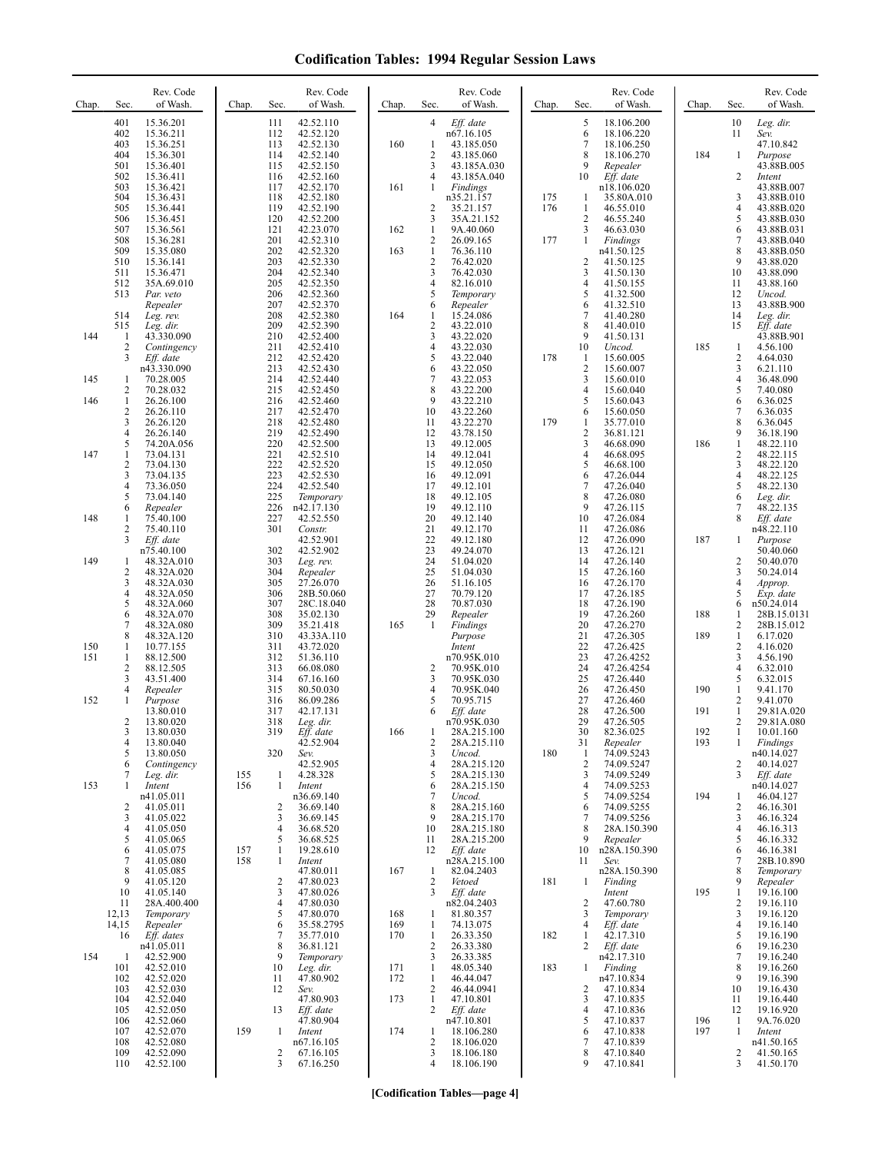| 401<br>15.36.201<br>111<br>42.52.110<br>$\overline{4}$<br>Eff. date<br>5<br>18.106.200<br>6<br>402<br>15.36.211<br>n67.16.105<br>18.106.220<br>112<br>42.52.120<br>$\overline{7}$<br>403<br>15.36.251<br>113<br>42.52.130<br>160<br>43.185.050<br>18.106.250<br>1<br>8<br>404<br>42.52.140<br>2<br>184<br>15.36.301<br>114<br>43.185.060<br>18.106.270<br>501<br>3<br>9<br>15.36.401<br>115<br>42.52.150<br>43.185A.030<br>Repealer<br>Eff. date<br>502<br>42.52.160<br>10<br>15.36.411<br>116<br>4<br>43.185A.040<br>503<br>161<br>15.36.421<br>117<br>42.52.170<br>1<br>Findings<br>n18.106.020<br>504<br>42.52.180<br>n35.21.157<br>175<br>35.80A.010<br>15.36.431<br>118<br>1<br>505<br>2<br>176<br>$\mathbf{1}$<br>15.36.441<br>119<br>42.52.190<br>35.21.157<br>46.55.010<br>506<br>120<br>42.52.200<br>3<br>35A.21.152<br>$\overline{c}$<br>46.55.240<br>15.36.451<br>507<br>121<br>42.23.070<br>$\mathbf{1}$<br>9A.40.060<br>3<br>46.63.030<br>15.36.561<br>162<br>508<br>201<br>42.52.310<br>$\overline{\mathbf{c}}$<br>26.09.165<br>177<br>15.36.281<br>1<br>Findings<br>$\mathbf{1}$<br>509<br>15.35.080<br>202<br>42.52.320<br>163<br>76.36.110<br>n41.50.125<br>$\overline{c}$<br>510<br>203<br>76.42.020<br>$\overline{\mathbf{c}}$<br>15.36.141<br>42.52.330<br>41.50.125<br>3<br>3<br>511<br>204<br>42.52.340<br>76.42.030<br>15.36.471<br>41.50.130<br>205<br>$\overline{4}$<br>512<br>35A.69.010<br>42.52.350<br>4<br>82.16.010<br>41.50.155 | 10<br>Leg. dir.<br>11<br>Sev.                                                                                               |
|----------------------------------------------------------------------------------------------------------------------------------------------------------------------------------------------------------------------------------------------------------------------------------------------------------------------------------------------------------------------------------------------------------------------------------------------------------------------------------------------------------------------------------------------------------------------------------------------------------------------------------------------------------------------------------------------------------------------------------------------------------------------------------------------------------------------------------------------------------------------------------------------------------------------------------------------------------------------------------------------------------------------------------------------------------------------------------------------------------------------------------------------------------------------------------------------------------------------------------------------------------------------------------------------------------------------------------------------------------------------------------------------------------------------------------------------------------------|-----------------------------------------------------------------------------------------------------------------------------|
|                                                                                                                                                                                                                                                                                                                                                                                                                                                                                                                                                                                                                                                                                                                                                                                                                                                                                                                                                                                                                                                                                                                                                                                                                                                                                                                                                                                                                                                                | 47.10.842<br>1<br>Purpose<br>43.88B.005                                                                                     |
|                                                                                                                                                                                                                                                                                                                                                                                                                                                                                                                                                                                                                                                                                                                                                                                                                                                                                                                                                                                                                                                                                                                                                                                                                                                                                                                                                                                                                                                                | 2<br>Intent<br>43.88B.007<br>3<br>43.88B.010<br>4<br>43.88B.020<br>5<br>43.88B.030                                          |
|                                                                                                                                                                                                                                                                                                                                                                                                                                                                                                                                                                                                                                                                                                                                                                                                                                                                                                                                                                                                                                                                                                                                                                                                                                                                                                                                                                                                                                                                | 6<br>43.88B.031<br>7<br>43.88B.040<br>8<br>43.88B.050<br>9<br>43.88.020<br>10<br>43.88.090                                  |
| 206<br>42.52.360<br>5<br>41.32.500<br>513<br>5<br>Par. veto<br>Temporary<br>6<br>207<br>Repealer<br>42.52.370<br>6<br>Repealer<br>41.32.510<br>208<br>42.52.380<br>15.24.086<br>7<br>514<br>164<br>1<br>41.40.280<br>Leg. rev.<br>8<br>209<br>42.52.390<br>2<br>43.22.010<br>515<br>Leg. dir.<br>41.40.010                                                                                                                                                                                                                                                                                                                                                                                                                                                                                                                                                                                                                                                                                                                                                                                                                                                                                                                                                                                                                                                                                                                                                     | 11<br>43.88.160<br>12<br>Uncod.<br>13<br>43.88B.900<br>14<br>Leg. dir.<br>15<br>Eff. date                                   |
| 144<br>210<br>42.52.400<br>3<br>43.22.020<br>9<br>43.330.090<br>41.50.131<br>1<br>$\overline{\mathbf{c}}$<br>211<br>42.52.410<br>4<br>43.22.030<br>10<br>185<br>Contingency<br>Uncod.<br>3<br>212<br>42.52.420<br>5<br>43.22.040<br>178<br>15.60.005<br>Eff. date<br>$\mathbf{1}$<br>$\overline{c}$<br>n43.330.090<br>213<br>42.52.430<br>43.22.050<br>15.60.007<br>6<br>3<br>214<br>7<br>145<br>70.28.005<br>42.52.440<br>43.22.053<br>15.60.010<br>1                                                                                                                                                                                                                                                                                                                                                                                                                                                                                                                                                                                                                                                                                                                                                                                                                                                                                                                                                                                                         | 43.88B.901<br>1<br>4.56.100<br>$\overline{c}$<br>4.64.030<br>3<br>6.21.110<br>4<br>36.48.090                                |
| 43.22.200<br>2<br>70.28.032<br>215<br>42.52.450<br>8<br>$\overline{4}$<br>15.60.040<br>5<br>146<br>9<br>43.22.210<br>1<br>26.26.100<br>216<br>42.52.460<br>15.60.043<br>43.22.260<br>$\overline{\mathbf{c}}$<br>26.26.110<br>217<br>42.52.470<br>10<br>6<br>15.60.050<br>3<br>218<br>11<br>43.22.270<br>179<br>26.26.120<br>42.52.480<br>1<br>35.77.010<br>4<br>219<br>42.52.490<br>12<br>43.78.150<br>$\overline{2}$<br>26.26.140<br>36.81.121                                                                                                                                                                                                                                                                                                                                                                                                                                                                                                                                                                                                                                                                                                                                                                                                                                                                                                                                                                                                                | 5<br>7.40.080<br>6<br>6.36.025<br>7<br>6.36.035<br>8<br>6.36.045<br>9<br>36.18.190                                          |
| 3<br>5<br>220<br>42.52.500<br>13<br>49.12.005<br>186<br>74.20A.056<br>46.68.090<br>147<br>73.04.131<br>221<br>42.52.510<br>49.12.041<br>$\overline{4}$<br>14<br>46.68.095<br>1<br>$\overline{c}$<br>73.04.130<br>222<br>42.52.520<br>15<br>49.12.050<br>5<br>46.68.100<br>3<br>223<br>6<br>73.04.135<br>42.52.530<br>16<br>49.12.091<br>47.26.044<br>224<br>$\boldsymbol{7}$<br>4<br>42.52.540<br>17<br>49.12.101<br>73.36.050<br>47.26.040<br>5<br>8<br>225<br>18<br>49.12.105<br>73.04.140<br>Temporary<br>47.26.080                                                                                                                                                                                                                                                                                                                                                                                                                                                                                                                                                                                                                                                                                                                                                                                                                                                                                                                                         | $\mathbf{1}$<br>48.22.110<br>2<br>48.22.115<br>3<br>48.22.120<br>4<br>48.22.125<br>5<br>48.22.130<br>6<br>Leg. dir.         |
| 9<br>226<br>n42.17.130<br>19<br>49.12.110<br>6<br>Repealer<br>47.26.115<br>20<br>148<br>75.40.100<br>227<br>42.52.550<br>10<br>1<br>49.12.140<br>47.26.084<br>2<br>75.40.110<br>301<br>21<br>49.12.170<br>47.26.086<br>Constr.<br>11<br>187<br>3<br>42.52.901<br>22<br>49.12.180<br>12<br>Eff. date<br>47.26.090<br>302<br>42.52.902<br>23<br>49.24.070<br>13<br>47.26.121<br>n75.40.100                                                                                                                                                                                                                                                                                                                                                                                                                                                                                                                                                                                                                                                                                                                                                                                                                                                                                                                                                                                                                                                                       | 48.22.135<br>7<br>8<br>Eff. date<br>n48.22.110<br>Purpose<br>1<br>50.40.060                                                 |
| 24<br>149<br>303<br>51.04.020<br>14<br>48.32A.010<br>Leg. rev.<br>47.26.140<br>1<br>$\overline{c}$<br>304<br>25<br>51.04.030<br>15<br>48.32A.020<br>Repealer<br>47.26.160<br>3<br>305<br>26<br>48.32A.030<br>27.26.070<br>51.16.105<br>16<br>47.26.170<br>306<br>27<br>70.79.120<br>4<br>48.32A.050<br>28B.50.060<br>17<br>47.26.185<br>5<br>70.87.030<br>307<br>28<br>18<br>48.32A.060<br>28C.18.040<br>47.26.190                                                                                                                                                                                                                                                                                                                                                                                                                                                                                                                                                                                                                                                                                                                                                                                                                                                                                                                                                                                                                                             | 2<br>50.40.070<br>3<br>50.24.014<br>4<br>Approp.<br>5<br>Exp. date<br>6<br>n50.24.014                                       |
| 188<br>6<br>308<br>29<br>19<br>48.32A.070<br>35.02.130<br>Repealer<br>47.26.260<br>7<br>309<br>35.21.418<br>20<br>47.26.270<br>48.32A.080<br>165<br>1<br>Findings<br>189<br>8<br>310<br>21<br>48.32A.120<br>43.33A.110<br>Purpose<br>47.26.305<br>10.77.155<br>311<br>43.72.020<br>22<br>150<br>1<br>Intent<br>47.26.425<br>23<br>151<br>312<br>n70.95K.010<br>1<br>88.12.500<br>51.36.110<br>47.26.4252                                                                                                                                                                                                                                                                                                                                                                                                                                                                                                                                                                                                                                                                                                                                                                                                                                                                                                                                                                                                                                                       | 1<br>28B.15.0131<br>$\sqrt{2}$<br>28B.15.012<br>$\mathbf{1}$<br>6.17.020<br>$\overline{c}$<br>4.16.020<br>3<br>4.56.190     |
| $\overline{c}$<br>24<br>88.12.505<br>313<br>66.08.080<br>2<br>70.95K.010<br>47.26.4254<br>3<br>3<br>25<br>43.51.400<br>314<br>67.16.160<br>70.95K.030<br>47.26.440<br>26<br>4<br>315<br>80.50.030<br>70.95K.040<br>47.26.450<br>190<br>Repealer<br>27<br>152<br>1<br>Purpose<br>316<br>86.09.286<br>5<br>70.95.715<br>47.26.460<br>28<br>191<br>13.80.010<br>317<br>42.17.131<br>Eff. date<br>47.26.500<br>6<br>2<br>29                                                                                                                                                                                                                                                                                                                                                                                                                                                                                                                                                                                                                                                                                                                                                                                                                                                                                                                                                                                                                                        | 4<br>6.32.010<br>5<br>6.32.015<br>1<br>9.41.170<br>$\mathbf{2}$<br>9.41.070<br>$\mathbf{1}$<br>29.81A.020<br>2              |
| 13.80.020<br>318<br>n70.95K.030<br>47.26.505<br>Leg. dir.<br>166<br>3<br>13.80.030<br>319<br>Eff. date<br>1<br>28A.215.100<br>30<br>82.36.025<br>192<br>193<br>$\overline{4}$<br>13.80.040<br>42.52.904<br>2<br>28A.215.110<br>31<br>Repealer<br>180<br>74.09.5243<br>5<br>13.80.050<br>320<br>3<br>Uncod.<br>Sev.<br>1<br>74.09.5247<br>Contingency<br>42.52.905<br>28A.215.120<br>$\overline{2}$<br>6<br>4<br>155<br>4.28.328<br>3<br>74.09.5249<br>7<br>Leg. dir.<br>1<br>5<br>28A.215.130                                                                                                                                                                                                                                                                                                                                                                                                                                                                                                                                                                                                                                                                                                                                                                                                                                                                                                                                                                  | 29.81A.080<br>1<br>10.01.160<br>1<br>Findings<br>n40.14.027<br>2<br>40.14.027<br>3<br>Eff. date                             |
| 153<br>156<br>28A.215.150<br>74.09.5253<br>1<br>Intent<br>$\mathbf{1}$<br>Intent<br>6<br>4<br>74.09.5254<br>194<br>n41.05.011<br>n36.69.140<br>7<br>5<br>Uncod.<br>2<br>8<br>74.09.5255<br>2<br>41.05.011<br>36.69.140<br>28A.215.160<br>6<br>3<br>3<br>41.05.022<br>36.69.145<br>28A.215.170<br>7<br>74.09.5256<br>9<br>4<br>41.05.050<br>4<br>10<br>8<br>36.68.520<br>28A.215.180<br>28A.150.390                                                                                                                                                                                                                                                                                                                                                                                                                                                                                                                                                                                                                                                                                                                                                                                                                                                                                                                                                                                                                                                             | n40.14.027<br>46.04.127<br>1<br>2<br>46.16.301<br>3<br>46.16.324<br>4<br>46.16.313                                          |
| 5<br>5<br>28A.215.200<br>41.05.065<br>36.68.525<br>9<br>Repealer<br>11<br>6<br>41.05.075<br>157<br>19.28.610<br>10<br>n28A.150.390<br>$\mathbf{1}$<br>12<br>Eff. date<br>7<br>41.05.080<br>158<br>n28A.215.100<br>1<br>Intent<br>11<br>Sev.<br>8<br>41.05.085<br>47.80.011<br>82.04.2403<br>n28A.150.390<br>167<br>$\mathbf{1}$<br>9<br>41.05.120<br>47.80.023<br>2<br>181<br>2<br>Vetoed<br>$\mathbf{1}$<br>Finding                                                                                                                                                                                                                                                                                                                                                                                                                                                                                                                                                                                                                                                                                                                                                                                                                                                                                                                                                                                                                                           | 5<br>46.16.332<br>6<br>46.16.381<br>7<br>28B.10.890<br>8<br>Temporary<br>9<br>Repealer                                      |
| 3<br>10<br>41.05.140<br>47.80.026<br>3<br>Eff. date<br>195<br>Intent<br>$\overline{c}$<br>11<br>28A.400.400<br>4<br>47.80.030<br>n82.04.2403<br>47.60.780<br>5<br>12,13<br>81.80.357<br>Temporary<br>Temporary<br>47.80.070<br>168<br>3<br>1<br>14,15<br>Repealer<br>6<br>74.13.075<br>Eff. date<br>35.58.2795<br>169<br>$\mathbf{1}$<br>4<br>26.33.350<br>42.17.310<br>Eff. dates<br>7<br>35.77.010<br>170<br>$\mathbf{1}$<br>182<br>$\mathbf{1}$<br>16                                                                                                                                                                                                                                                                                                                                                                                                                                                                                                                                                                                                                                                                                                                                                                                                                                                                                                                                                                                                       | $\mathbf{1}$<br>19.16.100<br>$\overline{c}$<br>19.16.110<br>3<br>19.16.120<br>$\overline{4}$<br>19.16.140<br>5<br>19.16.190 |
| 8<br>$\overline{c}$<br>$\overline{2}$<br>n41.05.011<br>26.33.380<br>36.81.121<br>Eff. date<br>42.52.900<br>9<br>26.33.385<br>n42.17.310<br>154<br>$\mathbf{1}$<br>Temporary<br>3<br>42.52.010<br>10<br>$\mathbf{1}$<br>48.05.340<br>183<br>101<br>Leg. dir.<br>171<br>Finding<br>1<br>42.52.020<br>47.80.902<br>172<br>$\mathbf{1}$<br>46.44.047<br>n47.10.834<br>102<br>11<br>103<br>42.52.030<br>2<br>46.44.0941<br>2<br>47.10.834<br>12<br>Sev.<br>104<br>42.52.040<br>47.80.903<br>173<br>$\mathbf{1}$<br>47.10.801<br>3<br>47.10.835                                                                                                                                                                                                                                                                                                                                                                                                                                                                                                                                                                                                                                                                                                                                                                                                                                                                                                                      | 6<br>19.16.230<br>7<br>19.16.240<br>8<br>19.16.260<br>9<br>19.16.390<br>10<br>19.16.430<br>11<br>19.16.440                  |
| 105<br>2<br>Eff. date<br>$\overline{4}$<br>47.10.836<br>42.52.050<br>13<br>Eff. date<br>47.80.904<br>n47.10.801<br>5<br>106<br>42.52.060<br>47.10.837<br>196<br>107<br>42.52.070<br>159<br>18.106.280<br>6<br>47.10.838<br>197<br>1<br>Intent<br>174<br>$\mathbf{1}$<br>$\overline{c}$<br>108<br>7<br>47.10.839<br>42.52.080<br>n67.16.105<br>18.106.020<br>42.52.090<br>18.106.180<br>47.10.840<br>109<br>67.16.105<br>8<br>2<br>3<br>110<br>3<br>4<br>18.106.190<br>9<br>47.10.841<br>42.52.100<br>67.16.250                                                                                                                                                                                                                                                                                                                                                                                                                                                                                                                                                                                                                                                                                                                                                                                                                                                                                                                                                 | 12<br>19.16.920<br>-1<br>9A.76.020<br>1<br>Intent<br>n41.50.165<br>2<br>41.50.165<br>3<br>41.50.170                         |

**[Codification Tables—page 4]**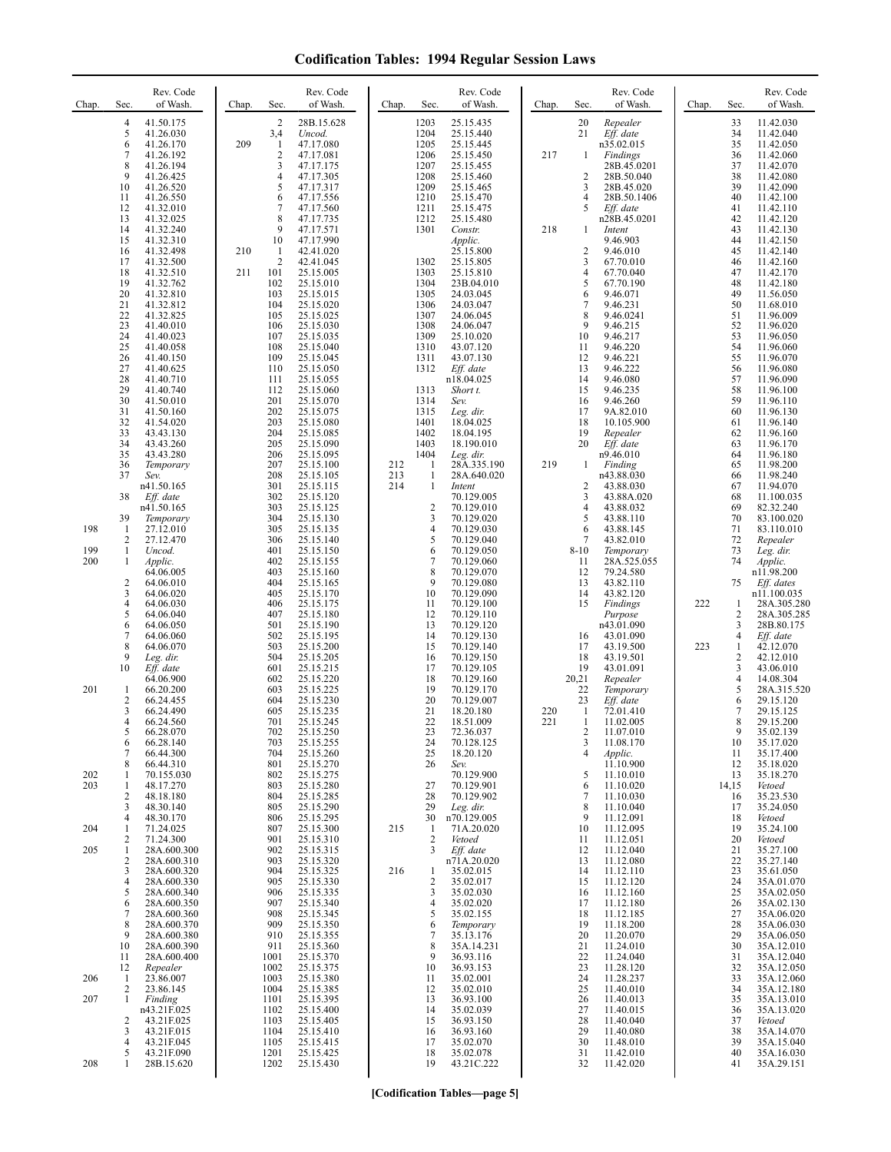| Chap.      | Rev. Code<br>of Wash.<br>Sec.                                                                                                                                                                                                    | Rev. Code<br>of Wash.<br>Chap.<br>Sec.                                                                                                                                                                                                       | Rev. Code<br>of Wash.<br>Chap.<br>Sec.                                                                                                                                                                                                       | Rev. Code<br>of Wash.<br>Chap.<br>Sec.                                                                                                                                                                                           | Rev. Code<br>of Wash.<br>Chap.<br>Sec.                                                                                                                                                                                           |
|------------|----------------------------------------------------------------------------------------------------------------------------------------------------------------------------------------------------------------------------------|----------------------------------------------------------------------------------------------------------------------------------------------------------------------------------------------------------------------------------------------|----------------------------------------------------------------------------------------------------------------------------------------------------------------------------------------------------------------------------------------------|----------------------------------------------------------------------------------------------------------------------------------------------------------------------------------------------------------------------------------|----------------------------------------------------------------------------------------------------------------------------------------------------------------------------------------------------------------------------------|
|            | $\overline{4}$<br>41.50.175<br>5<br>41.26.030<br>6<br>41.26.170<br>$\overline{7}$<br>41.26.192<br>8<br>41.26.194<br>9<br>41.26.425<br>10<br>41.26.520<br>41.26.550<br>11<br>12<br>41.32.010                                      | $\overline{2}$<br>28B.15.628<br>3,4<br>Uncod.<br>209<br>1<br>47.17.080<br>$\overline{2}$<br>47.17.081<br>3<br>47.17.175<br>$\overline{4}$<br>47.17.305<br>5<br>47.17.317<br>6<br>47.17.556<br>7<br>47.17.560                                 | 1203<br>25.15.435<br>1204<br>25.15.440<br>1205<br>25.15.445<br>25.15.450<br>1206<br>1207<br>25.15.455<br>1208<br>25.15.460<br>1209<br>25.15.465<br>1210<br>25.15.470<br>1211<br>25.15.475                                                    | 20<br>Repealer<br>21<br>$Eff.$ date<br>n35.02.015<br>217<br>Findings<br>-1<br>28B.45.0201<br>$\overline{c}$<br>28B.50.040<br>3<br>28B.45.020<br>$\overline{4}$<br>28B.50.1406<br>5<br>Eff. date                                  | 33<br>11.42.030<br>34<br>11.42.040<br>35<br>11.42.050<br>36<br>11.42.060<br>37<br>11.42.070<br>38<br>11.42.080<br>39<br>11.42.090<br>40<br>11.42.100<br>41<br>11.42.110                                                          |
|            | 13<br>41.32.025<br>14<br>41.32.240<br>15<br>41.32.310<br>16<br>41.32.498<br>17<br>41.32.500<br>18<br>41.32.510<br>19<br>41.32.762<br>20<br>41.32.810<br>21<br>41.32.812<br>22<br>41.32.825<br>23<br>41.40.010                    | 8<br>47.17.735<br>9<br>47.17.571<br>10<br>47.17.990<br>210<br>1<br>42.41.020<br>$\overline{2}$<br>42.41.045<br>211<br>25.15.005<br>101<br>102<br>25.15.010<br>103<br>25.15.015<br>104<br>25.15.020<br>105<br>25.15.025<br>106<br>25.15.030   | 1212<br>25.15.480<br>1301<br>Constr.<br>Applic.<br>25.15.800<br>1302<br>25.15.805<br>1303<br>25.15.810<br>1304<br>23B.04.010<br>1305<br>24.03.045<br>1306<br>24.03.047<br>1307<br>24.06.045<br>1308<br>24.06.047                             | n28B.45.0201<br>218<br>Intent<br>$\mathbf{1}$<br>9.46.903<br>$\overline{\mathbf{c}}$<br>9.46.010<br>3<br>67.70.010<br>4<br>67.70.040<br>5<br>67.70.190<br>6<br>9.46.071<br>$\tau$<br>9.46.231<br>8<br>9.46.0241<br>9<br>9.46.215 | 42<br>11.42.120<br>43<br>11.42.130<br>44<br>11.42.150<br>45<br>11.42.140<br>46<br>11.42.160<br>47<br>11.42.170<br>48<br>11.42.180<br>49<br>11.56.050<br>50<br>11.68.010<br>51<br>11.96.009<br>52<br>11.96.020                    |
|            | 24<br>41.40.023<br>25<br>41.40.058<br>26<br>41.40.150<br>27<br>41.40.625<br>28<br>41.40.710<br>29<br>41.40.740<br>30<br>41.50.010<br>31<br>41.50.160<br>32<br>41.54.020<br>33<br>43.43.130<br>34<br>43.43.260<br>35<br>43.43.280 | 25.15.035<br>107<br>108<br>25.15.040<br>109<br>25.15.045<br>25.15.050<br>110<br>111<br>25.15.055<br>112<br>25.15.060<br>201<br>25.15.070<br>202<br>25.15.075<br>203<br>25.15.080<br>204<br>25.15.085<br>205<br>25.15.090<br>206<br>25.15.095 | 1309<br>25.10.020<br>1310<br>43.07.120<br>1311<br>43.07.130<br>1312<br>Eff. date<br>n18.04.025<br>1313<br>Short t.<br>1314<br>Sev.<br>1315<br>Leg. dir.<br>1401<br>18.04.025<br>1402<br>18.04.195<br>1403<br>18.190.010<br>1404<br>Leg. dir. | 10<br>9.46.217<br>11<br>9.46.220<br>12<br>9.46.221<br>13<br>9.46.222<br>14<br>9.46.080<br>9.46.235<br>15<br>16<br>9.46.260<br>17<br>9A.82.010<br>10.105.900<br>18<br>19<br>Repealer<br>20<br>Eff. date<br>n9.46.010              | 53<br>11.96.050<br>54<br>11.96.060<br>55<br>11.96.070<br>56<br>11.96.080<br>57<br>11.96.090<br>58<br>11.96.100<br>59<br>11.96.110<br>60<br>11.96.130<br>61<br>11.96.140<br>62<br>11.96.160<br>63<br>11.96.170<br>64<br>11.96.180 |
| 198        | 36<br>Temporary<br>37<br>Sev.<br>n41.50.165<br>38<br>Eff. date<br>n41.50.165<br>39<br>Temporary<br>-1<br>27.12.010<br>2<br>27.12.470                                                                                             | 207<br>25.15.100<br>208<br>25.15.105<br>301<br>25.15.115<br>302<br>25.15.120<br>303<br>25.15.125<br>304<br>25.15.130<br>25.15.135<br>305<br>306<br>25.15.140                                                                                 | $\mathbf{1}$<br>212<br>28A.335.190<br>213<br>1<br>28A.640.020<br>214<br>1<br>Intent<br>70.129.005<br>$\overline{c}$<br>70.129.010<br>3<br>70.129.020<br>70.129.030<br>4<br>70.129.040<br>5                                                   | 219<br>Finding<br>1<br>n43.88.030<br>$\overline{c}$<br>43.88.030<br>3<br>43.88A.020<br>4<br>43.88.032<br>5<br>43.88.110<br>6<br>43.88.145<br>$\overline{7}$<br>43.82.010                                                         | 65<br>11.98.200<br>66<br>11.98.240<br>67<br>11.94.070<br>68<br>11.100.035<br>69<br>82.32.240<br>70<br>83.100.020<br>71<br>83.110.010<br>72<br>Repealer                                                                           |
| 199<br>200 | -1<br>Uncod.<br>1<br>Applic.<br>64.06.005<br>$\overline{c}$<br>64.06.010<br>3<br>64.06.020<br>4<br>64.06.030<br>5<br>64.06.040<br>6<br>64.06.050<br>7<br>64.06.060<br>8<br>64.06.070<br>9<br>Leg. dir.                           | 25.15.150<br>401<br>402<br>25.15.155<br>403<br>25.15.160<br>404<br>25.15.165<br>405<br>25.15.170<br>406<br>25.15.175<br>407<br>25.15.180<br>501<br>25.15.190<br>502<br>25.15.195<br>503<br>25.15.200<br>504<br>25.15.205                     | 70.129.050<br>6<br>7<br>70.129.060<br>8<br>70.129.070<br>9<br>70.129.080<br>10<br>70.129.090<br>70.129.100<br>11<br>12<br>70.129.110<br>13<br>70.129.120<br>14<br>70.129.130<br>15<br>70.129.140<br>16<br>70.129.150                         | $8 - 10$<br>Temporary<br>11<br>28A.525.055<br>12<br>79.24.580<br>43.82.110<br>13<br>14<br>43.82.120<br>Findings<br>15<br>Purpose<br>n43.01.090<br>16<br>43.01.090<br>17<br>43.19.500<br>43.19.501<br>18                          | 73<br>Leg. dir.<br>74<br>Applic.<br>n11.98.200<br>Eff. dates<br>75<br>n11.100.035<br>222<br>28A.305.280<br>1<br>2<br>28A.305.285<br>3<br>28B.80.175<br>$\overline{4}$<br>Eff. date<br>223<br>42.12.070<br>1<br>2<br>42.12.010    |
| 201        | 10<br>Eff. date<br>64.06.900<br>-1<br>66.20.200<br>$\overline{c}$<br>66.24.455<br>3<br>66.24.490<br>4<br>66.24.560<br>$\mathcal{L}$<br>66.28.070<br>66.28.140<br>6<br>$\overline{7}$<br>66.44.300                                | 601<br>25.15.215<br>602<br>25.15.220<br>603<br>25.15.225<br>604<br>25.15.230<br>605<br>25.15.235<br>701<br>25.15.245<br>702<br>25.15.250<br>703<br>25.15.255<br>704<br>25.15.260                                                             | 17<br>70.129.105<br>18<br>70.129.160<br>19<br>70.129.170<br>20<br>70.129.007<br>21<br>18.20.180<br>22<br>18.51.009<br>23<br>72.36.037<br>24<br>70.128.125<br>25<br>18.20.120                                                                 | 19<br>43.01.091<br>20,21<br>Repealer<br>22<br>Temporary<br>Eff. date<br>23<br>220<br>-1<br>72.01.410<br>221<br>1<br>11.02.005<br>2<br>11.07.010<br>11.08.170<br>3<br>$\overline{4}$<br>Applic.                                   | 3<br>43.06.010<br>$\overline{4}$<br>14.08.304<br>5<br>28A.315.520<br>6<br>29.15.120<br>7<br>29.15.125<br>8<br>29.15.200<br>9<br>35.02.139<br>10<br>35.17.020<br>11<br>35.17.400<br>12                                            |
| 202<br>203 | 66.44.310<br>8<br>70.155.030<br>-1<br>1<br>48.17.270<br>48.18.180<br>$\overline{2}$<br>3<br>48.30.140<br>48.30.170<br>$\overline{4}$                                                                                             | 25.15.270<br>801<br>802<br>25.15.275<br>803<br>25.15.280<br>25.15.285<br>804<br>805<br>25.15.290<br>25.15.295<br>806                                                                                                                         | 26<br>Sev.<br>70.129.900<br>70.129.901<br>27<br>70.129.902<br>28<br>29<br>Leg. dir.<br>30<br>n70.129.005                                                                                                                                     | 11.10.900<br>11.10.010<br>5<br>6<br>11.10.020<br>7<br>11.10.030<br>8<br>11.10.040<br>9<br>11.12.091                                                                                                                              | 35.18.020<br>13<br>35.18.270<br>14,15<br>Vetoed<br>35.23.530<br>16<br>17<br>35.24.050<br>18<br>Vetoed                                                                                                                            |
| 204<br>205 | 71.24.025<br>-1<br>71.24.300<br>2<br>1<br>28A.600.300<br>2<br>28A.600.310<br>3<br>28A.600.320<br>4<br>28A.600.330<br>28A.600.340<br>5<br>28A.600.350<br>6<br>28A.600.360<br>7<br>8<br>28A.600.370                                | 807<br>25.15.300<br>901<br>25.15.310<br>902<br>25.15.315<br>903<br>25.15.320<br>904<br>25.15.325<br>905<br>25.15.330<br>25.15.335<br>906<br>907<br>25.15.340<br>25.15.345<br>908<br>909<br>25.15.350                                         | 215<br>71A.20.020<br>-1<br>2<br>Vetoed<br>Eff. date<br>3<br>n71A.20.020<br>35.02.015<br>216<br>1<br>$\sqrt{2}$<br>35.02.017<br>35.02.030<br>3<br>35.02.020<br>4<br>35.02.155<br>5<br>6<br>Temporary                                          | 11.12.095<br>10<br>11.12.051<br>11<br>11.12.040<br>12<br>11.12.080<br>13<br>11.12.110<br>14<br>11.12.120<br>15<br>11.12.160<br>16<br>11.12.180<br>17<br>11.12.185<br>18<br>19<br>11.18.200                                       | 19<br>35.24.100<br>20<br>Vetoed<br>21<br>35.27.100<br>22<br>35.27.140<br>23<br>35.61.050<br>24<br>35A.01.070<br>25<br>35A.02.050<br>26<br>35A.02.130<br>27<br>35A.06.020<br>28<br>35A.06.030                                     |
| 206<br>207 | 28A.600.380<br>9<br>10<br>28A.600.390<br>28A.600.400<br>11<br>12<br>Repealer<br>23.86.007<br>-1<br>$\overline{2}$<br>23.86.145<br>-1<br>Finding<br>n43.21F.025<br>2<br>43.21F.025<br>3<br>43.21F.015                             | 910<br>25.15.355<br>911<br>25.15.360<br>25.15.370<br>1001<br>1002<br>25.15.375<br>25.15.380<br>1003<br>1004<br>25.15.385<br>1101<br>25.15.395<br>1102<br>25.15.400<br>1103<br>25.15.405<br>1104<br>25.15.410                                 | 35.13.176<br>7<br>8<br>35A.14.231<br>36.93.116<br>9<br>10<br>36.93.153<br>35.02.001<br>11<br>35.02.010<br>12<br>36.93.100<br>13<br>35.02.039<br>14<br>36.93.150<br>15<br>36.93.160<br>16                                                     | 20<br>11.20.070<br>21<br>11.24.010<br>22<br>11.24.040<br>23<br>11.28.120<br>24<br>11.28.237<br>25<br>11.40.010<br>26<br>11.40.013<br>27<br>11.40.015<br>28<br>11.40.040<br>29<br>11.40.080                                       | 29<br>35A.06.050<br>30<br>35A.12.010<br>35A.12.040<br>31<br>32<br>35A.12.050<br>33<br>35A.12.060<br>34<br>35A.12.180<br>35<br>35A.13.010<br>36<br>35A.13.020<br>37<br>Vetoed<br>38<br>35A.14.070                                 |
| 208        | 4<br>43.21F.045<br>43.21F.090<br>5<br>28B.15.620<br>1                                                                                                                                                                            | 1105<br>25.15.415<br>1201<br>25.15.425<br>1202<br>25.15.430                                                                                                                                                                                  | 35.02.070<br>17<br>35.02.078<br>18<br>19<br>43.21C.222                                                                                                                                                                                       | 30<br>11.48.010<br>11.42.010<br>31<br>32<br>11.42.020                                                                                                                                                                            | 39<br>35A.15.040<br>40<br>35A.16.030<br>41<br>35A.29.151                                                                                                                                                                         |

**[Codification Tables—page 5]**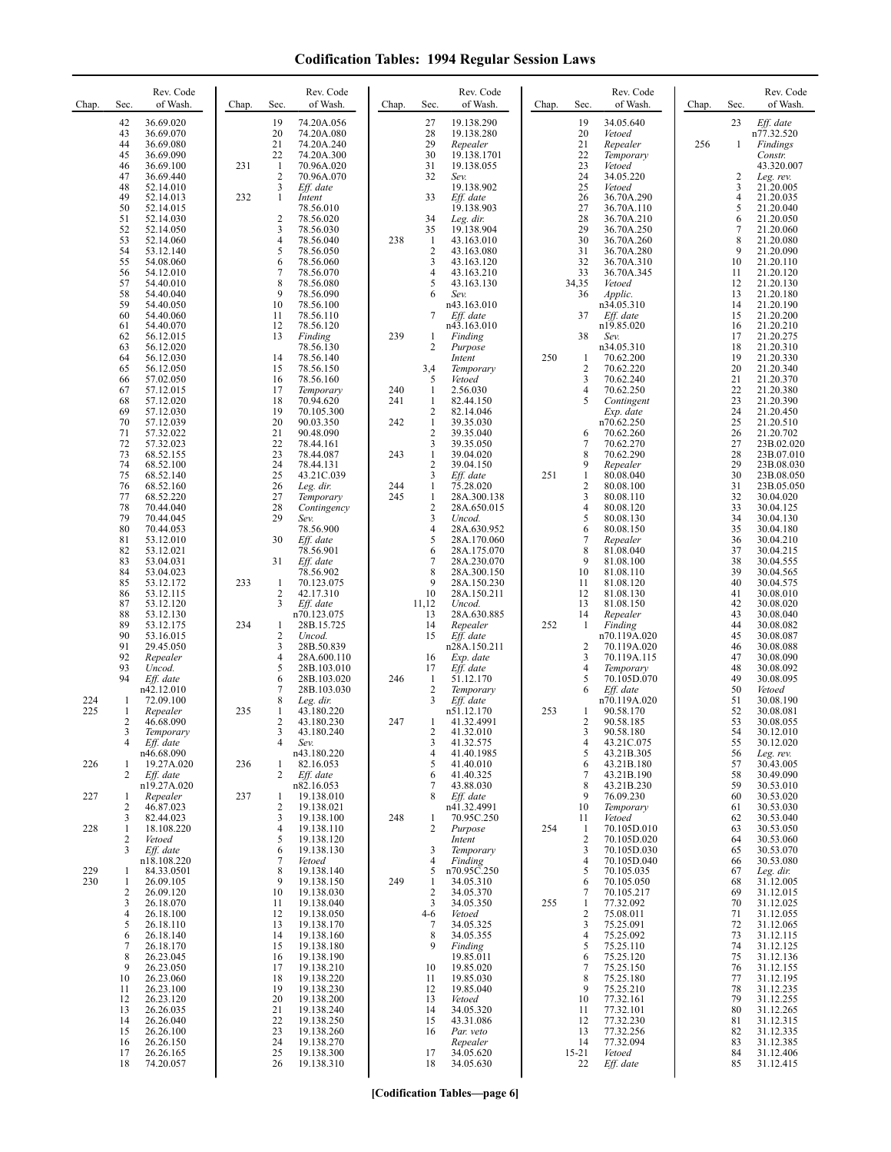| Chap.             | Rev. Code<br>of Wash.<br>Sec.                                                                                                                                           | Chap.<br>Sec.                                                                               | Rev. Code<br>of Wash.                                                                                                      | Chap.                    | Rev. Code<br>Sec.<br>of Wash.                                                                                                                                                | Chap. | Rev. Code<br>of Wash.<br>Sec.                                                                                                                                                            | Chap. | Rev. Code<br>of Wash.<br>Sec.                                                                                                                                           |
|-------------------|-------------------------------------------------------------------------------------------------------------------------------------------------------------------------|---------------------------------------------------------------------------------------------|----------------------------------------------------------------------------------------------------------------------------|--------------------------|------------------------------------------------------------------------------------------------------------------------------------------------------------------------------|-------|------------------------------------------------------------------------------------------------------------------------------------------------------------------------------------------|-------|-------------------------------------------------------------------------------------------------------------------------------------------------------------------------|
|                   | 42<br>36.69.020<br>43<br>36.69.070<br>44<br>36.69.080<br>45<br>36.69.090<br>46<br>36.69.100<br>47<br>36.69.440<br>48<br>52.14.010<br>49<br>52.14.013<br>50<br>52.14.015 | 19<br>20<br>21<br>22<br>231<br>1<br>$\overline{2}$<br>3<br>232<br>1                         | 74.20A.056<br>74.20A.080<br>74.20A.240<br>74.20A.300<br>70.96A.020<br>70.96A.070<br>Eff. date<br>Intent<br>78.56.010       |                          | 27<br>19.138.290<br>28<br>19.138.280<br>29<br>Repealer<br>30<br>19.138.1701<br>31<br>19.138.055<br>32<br>Sev.<br>19.138.902<br>33<br>Eff. date<br>19.138.903                 |       | 19<br>34.05.640<br>20<br>Vetoed<br>21<br>Repealer<br>22<br>Temporary<br>23<br>Vetoed<br>24<br>34.05.220<br>25<br>Vetoed<br>26<br>36.70A.290<br>27<br>36.70A.110                          | 256   | 23<br>Eff. date<br>n77.32.520<br>$\mathbf{1}$<br>Findings<br>Constr.<br>43.320.007<br>2<br>Leg. rev.<br>3<br>21.20.005<br>4<br>21.20.035<br>5<br>21.20.040              |
|                   | 51<br>52.14.030<br>52<br>52.14.050<br>53<br>52.14.060<br>54<br>53.12.140<br>55<br>54.08.060<br>56<br>54.12.010<br>57<br>54.40.010<br>58<br>54.40.040<br>59<br>54.40.050 | $\overline{2}$<br>3<br>$\overline{4}$<br>5<br>6<br>$\overline{\mathcal{I}}$<br>8<br>9<br>10 | 78.56.020<br>78.56.030<br>78.56.040<br>78.56.050<br>78.56.060<br>78.56.070<br>78.56.080<br>78.56.090<br>78.56.100          | 238                      | 34<br>Leg. dir.<br>35<br>19.138.904<br>-1<br>43.163.010<br>$\overline{2}$<br>43.163.080<br>3<br>43.163.120<br>4<br>43.163.210<br>5<br>43.163.130<br>Sev.<br>6<br>n43.163.010 |       | 28<br>36.70A.210<br>29<br>36.70A.250<br>30<br>36.70A.260<br>31<br>36.70A.280<br>32<br>36.70A.310<br>33<br>36.70A.345<br>34,35<br>Vetoed<br>36<br>Applic.<br>n34.05.310                   |       | 6<br>21.20.050<br>7<br>21.20.060<br>8<br>21.20.080<br>9<br>21.20.090<br>10<br>21.20.110<br>11<br>21.20.120<br>12<br>21.20.130<br>13<br>21.20.180<br>14<br>21.20.190     |
|                   | 60<br>54.40.060<br>61<br>54.40.070<br>62<br>56.12.015<br>63<br>56.12.020<br>64<br>56.12.030<br>65<br>56.12.050<br>66<br>57.02.050                                       | 11<br>12<br>13<br>14<br>15<br>16                                                            | 78.56.110<br>78.56.120<br>Finding<br>78.56.130<br>78.56.140<br>78.56.150<br>78.56.160                                      | 239                      | 7<br>Eff. date<br>n43.163.010<br>1<br>Finding<br>2<br>Purpose<br>Intent<br>3,4<br>Temporary<br>5<br>Vetoed                                                                   | 250   | 37<br>Eff. date<br>n19.85.020<br>38<br>Sev.<br>n34.05.310<br>70.62.200<br>-1<br>$\overline{c}$<br>70.62.220<br>$\overline{\mathbf{3}}$<br>70.62.240                                      |       | 15<br>21.20.200<br>16<br>21.20.210<br>17<br>21.20.275<br>18<br>21.20.310<br>19<br>21.20.330<br>20<br>21.20.340<br>21<br>21.20.370                                       |
|                   | 67<br>57.12.015<br>68<br>57.12.020<br>69<br>57.12.030<br>70<br>57.12.039<br>71<br>57.32.022<br>72<br>57.32.023<br>73<br>68.52.155                                       | 17<br>18<br>19<br>20<br>21<br>22<br>23                                                      | Temporary<br>70.94.620<br>70.105.300<br>90.03.350<br>90.48.090<br>78.44.161<br>78.44.087                                   | 240<br>241<br>242<br>243 | 2.56.030<br>1<br>$\mathbf{1}$<br>82.44.150<br>2<br>82.14.046<br>$\mathbf{1}$<br>39.35.030<br>$\overline{2}$<br>39.35.040<br>3<br>39.35.050<br>$\mathbf{1}$<br>39.04.020      |       | 4<br>70.62.250<br>5<br>Contingent<br>Exp. date<br>n70.62.250<br>70.62.260<br>6<br>70.62.270<br>$\overline{7}$<br>8<br>70.62.290                                                          |       | 22<br>21.20.380<br>23<br>21.20.390<br>24<br>21.20.450<br>25<br>21.20.510<br>26<br>21.20.702<br>27<br>23B.02.020<br>28<br>23B.07.010                                     |
|                   | 74<br>68.52.100<br>75<br>68.52.140<br>76<br>68.52.160<br>77<br>68.52.220<br>78<br>70.44.040<br>79<br>70.44.045<br>80<br>70.44.053                                       | 24<br>25<br>26<br>27<br>28<br>29                                                            | 78.44.131<br>43.21C.039<br>Leg. dir.<br>Temporary<br>Contingency<br>Sev.<br>78.56.900                                      | 244<br>245               | 2<br>39.04.150<br>3<br>Eff. date<br>75.28.020<br>1<br>$\mathbf{1}$<br>28A.300.138<br>2<br>28A.650.015<br>3<br>Uncod.<br>4<br>28A.630.952                                     | 251   | 9<br>Repealer<br>$\mathbf{1}$<br>80.08.040<br>$\sqrt{2}$<br>80.08.100<br>$\overline{\mathbf{3}}$<br>80.08.110<br>4<br>80.08.120<br>5<br>80.08.130<br>6<br>80.08.150                      |       | 29<br>23B.08.030<br>30<br>23B.08.050<br>31<br>23B.05.050<br>32<br>30.04.020<br>33<br>30.04.125<br>34<br>30.04.130<br>35<br>30.04.180                                    |
|                   | 81<br>53.12.010<br>82<br>53.12.021<br>83<br>53.04.031<br>84<br>53.04.023<br>85<br>53.12.172<br>86<br>53.12.115<br>87<br>53.12.120                                       | 30<br>31<br>233<br>1<br>2<br>3                                                              | Eff. date<br>78.56.901<br>Eff. date<br>78.56.902<br>70.123.075<br>42.17.310<br>Eff. date                                   |                          | 5<br>28A.170.060<br>6<br>28A.175.070<br>7<br>28A.230.070<br>8<br>28A.300.150<br>9<br>28A.150.230<br>10<br>28A.150.211<br>11,12<br>Uncod.                                     |       | $\tau$<br>Repealer<br>8<br>81.08.040<br>9<br>81.08.100<br>10<br>81.08.110<br>11<br>81.08.120<br>12<br>81.08.130<br>13<br>81.08.150                                                       |       | 36<br>30.04.210<br>37<br>30.04.215<br>38<br>30.04.555<br>39<br>30.04.565<br>40<br>30.04.575<br>41<br>30.08.010<br>42<br>30.08.020                                       |
|                   | 88<br>53.12.130<br>89<br>53.12.175<br>90<br>53.16.015<br>91<br>29.45.050<br>92<br>Repealer<br>93<br>Uncod.<br>94                                                        | 234<br>1<br>$\overline{\mathbf{c}}$<br>3<br>$\overline{4}$<br>5<br>6                        | n70.123.075<br>28B.15.725<br>Uncod.<br>28B.50.839<br>28A.600.110<br>28B.103.010                                            | 246                      | 13<br>28A.630.885<br>14<br>Repealer<br>Eff. date<br>15<br>n28A.150.211<br>Exp. date<br>16<br>17<br>Eff. date<br>51.12.170                                                    | 252   | 14<br>Repealer<br>-1<br>Finding<br>n70.119A.020<br>$\overline{c}$<br>70.119A.020<br>3<br>70.119A.115<br>$\overline{4}$<br>Temporary<br>5<br>70.105D.070                                  |       | 43<br>30.08.040<br>44<br>30.08.082<br>45<br>30.08.087<br>46<br>30.08.088<br>47<br>30.08.090<br>48<br>30.08.092<br>49                                                    |
| 224<br>225        | Eff. date<br>n42.12.010<br>72.09.100<br>1<br>1<br>Repealer<br>2<br>46.68.090<br>Temporary<br>4<br>Eff. date<br>n46.68.090                                               | 7<br>8<br>235<br>1<br>2<br>3<br>$\overline{4}$                                              | 28B.103.020<br>28B.103.030<br>Leg. dir.<br>43.180.220<br>43.180.230<br>43.180.240<br>Sev.                                  | 247                      | 1<br>$\overline{2}$<br>Temporary<br>3<br>Eff. date<br>n51.12.170<br>41.32.4991<br>1<br>41.32.010<br>3<br>41.32.575<br>4                                                      | 253   | 6<br>Eff. date<br>n70.119A.020<br>90.58.170<br>1<br>2<br>90.58.185<br>90.58.180<br>3<br>$\overline{4}$<br>43.21C.075<br>5                                                                |       | 30.08.095<br>50<br>Vetoed<br>51<br>30.08.190<br>52<br>30.08.081<br>53<br>30.08.055<br>54<br>30.12.010<br>55<br>30.12.020                                                |
| 226<br>227        | 19.27A.020<br>1<br>2<br>Eff. date<br>n19.27A.020<br>Repealer<br>1<br>2<br>46.87.023<br>82.44.023<br>3                                                                   | 236<br>1<br>2<br>237<br>1<br>2<br>3                                                         | n43.180.220<br>82.16.053<br>Eff. date<br>n82.16.053<br>19.138.010<br>19.138.021<br>19.138.100                              | 248                      | 41.40.1985<br>5<br>41.40.010<br>41.40.325<br>6<br>7<br>43.88.030<br>8<br>Eff. date<br>n41.32.4991<br>70.95C.250<br>1                                                         |       | 43.21B.305<br>6<br>43.21B.180<br>43.21B.190<br>7<br>8<br>43.21B.230<br>76.09.230<br>9<br>10<br>Temporary<br>11<br>Vetoed                                                                 |       | 56<br>Leg. rev.<br>57<br>30.43.005<br>30.49.090<br>58<br>59<br>30.53.010<br>30.53.020<br>60<br>30.53.030<br>61<br>30.53.040<br>62                                       |
| 228<br>229<br>230 | 18.108.220<br>1<br>2<br>Vetoed<br>Eff. date<br>3<br>n18.108.220<br>84.33.0501<br>1<br>26.09.105<br>-1<br>2<br>26.09.120                                                 | 4<br>5<br>6<br>$\overline{7}$<br>8<br>9<br>10                                               | 19.138.110<br>19.138.120<br>19.138.130<br>Vetoed<br>19.138.140<br>19.138.150<br>19.138.030                                 | 249                      | 2<br>Purpose<br>Intent<br>3<br>Temporary<br>4<br>Finding<br>n70.95C.250<br>5<br>34.05.310<br>1<br>$\overline{2}$<br>34.05.370                                                | 254   | 70.105D.010<br>$\mathbf{1}$<br>2<br>70.105D.020<br>3<br>70.105D.030<br>$\overline{4}$<br>70.105D.040<br>5<br>70.105.035<br>70.105.050<br>6<br>70.105.217<br>7                            |       | 63<br>30.53.050<br>64<br>30.53.060<br>30.53.070<br>65<br>66<br>30.53.080<br>67<br>Leg. dir.<br>68<br>31.12.005<br>69<br>31.12.015                                       |
|                   | 26.18.070<br>3<br>26.18.100<br>4<br>26.18.110<br>5<br>26.18.140<br>6<br>26.18.170<br>7<br>26.23.045<br>8<br>26.23.050<br>9<br>10<br>26.23.060<br>26.23.100<br>11        | 11<br>12<br>13<br>14<br>15<br>16<br>17<br>18<br>19                                          | 19.138.040<br>19.138.050<br>19.138.170<br>19.138.160<br>19.138.180<br>19.138.190<br>19.138.210<br>19.138.220<br>19.138.230 |                          | 34.05.350<br>3<br>Vetoed<br>4-6<br>34.05.325<br>7<br>8<br>34.05.355<br>Finding<br>9<br>19.85.011<br>19.85.020<br>10<br>11<br>19.85.030<br>19.85.040<br>12                    | 255   | 77.32.092<br>1<br>$\overline{2}$<br>75.08.011<br>$\mathfrak{Z}$<br>75.25.091<br>75.25.092<br>4<br>75.25.110<br>5<br>75.25.120<br>6<br>75.25.150<br>7<br>8<br>75.25.180<br>75.25.210<br>9 |       | 70<br>31.12.025<br>71<br>31.12.055<br>72<br>31.12.065<br>73<br>31.12.115<br>74<br>31.12.125<br>75<br>31.12.136<br>31.12.155<br>76<br>77<br>31.12.195<br>78<br>31.12.235 |
|                   | 12<br>26.23.120<br>26.26.035<br>13<br>14<br>26.26.040<br>26.26.100<br>15<br>26.26.150<br>16<br>26.26.165<br>17<br>18<br>74.20.057                                       | 20<br>21<br>22<br>23<br>24<br>25<br>26                                                      | 19.138.200<br>19.138.240<br>19.138.250<br>19.138.260<br>19.138.270<br>19.138.300<br>19.138.310                             |                          | 13<br>Vetoed<br>14<br>34.05.320<br>43.31.086<br>15<br>Par. veto<br>16<br>Repealer<br>34.05.620<br>17<br>34.05.630<br>18                                                      |       | 10<br>77.32.161<br>77.32.101<br>11<br>77.32.230<br>12<br>13<br>77.32.256<br>14<br>77.32.094<br>$15 - 21$<br>Vetoed<br>22<br>Eff. date                                                    |       | 79<br>31.12.255<br>80<br>31.12.265<br>81<br>31.12.315<br>82<br>31.12.335<br>83<br>31.12.385<br>84<br>31.12.406<br>85<br>31.12.415                                       |

**[Codification Tables—page 6]**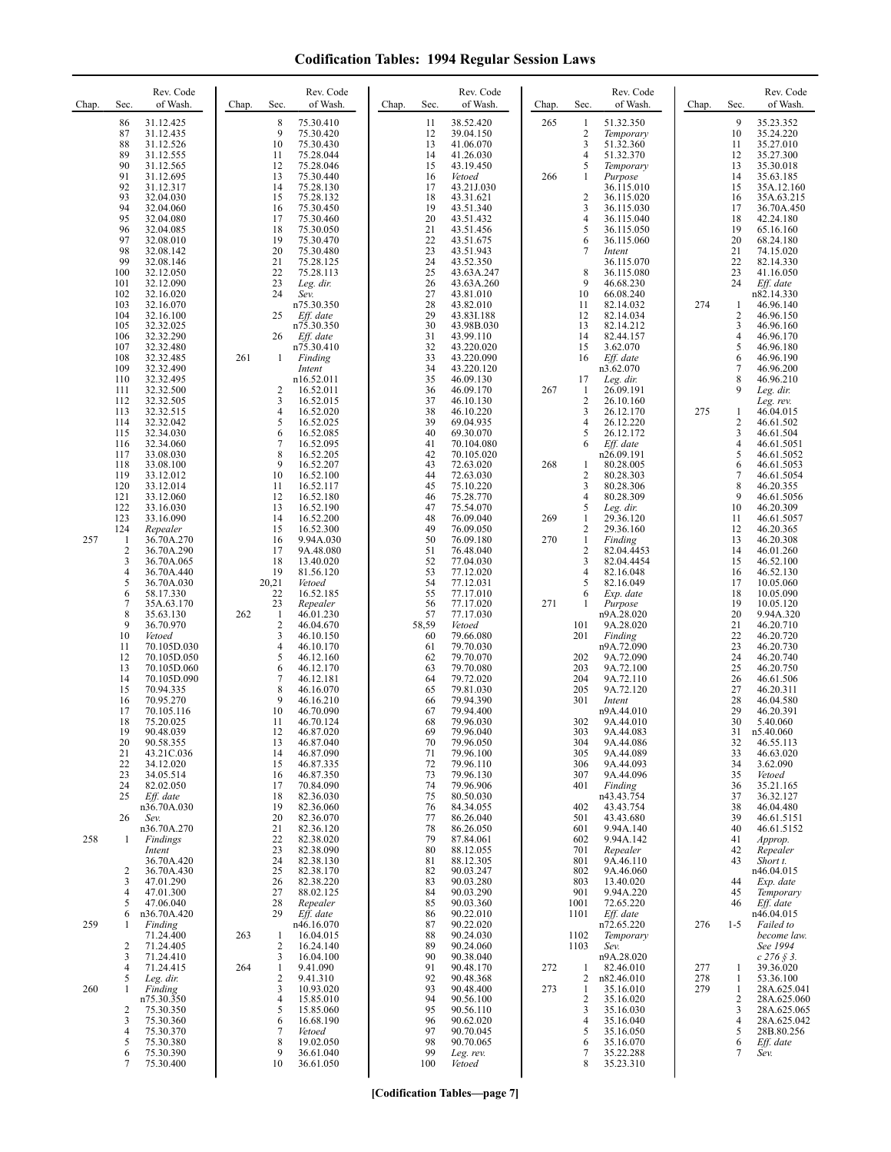| Chap.      | Rev. Code<br>Sec.<br>of Wash.                                                                                                                                                                                                                                                                                                                                                                                                                                                                                                                                                                                                                                                                                                      | Rev. Code<br>of Wash.<br>Chap.<br>Sec.                                                                                                                                                                                                                                                                                                                                                                                                                                                                                                                                                                                                                                                | Rev. Code<br>of Wash.<br>Chap.<br>Sec.                                                                                                                                                                                                                                                                                                                                                                                                                                                                                                                                                                                                                                                  | Rev. Code<br>of Wash.<br>Chap.<br>Sec.                                                                                                                                                                                                                                                                                                                                                                                                                                                                                                                                                                                                                                                                                          | Rev. Code<br>Sec.<br>of Wash.<br>Chap.                                                                                                                                                                                                                                                                                                                                                                                                                                                                                                                                                                                                                                                                    |
|------------|------------------------------------------------------------------------------------------------------------------------------------------------------------------------------------------------------------------------------------------------------------------------------------------------------------------------------------------------------------------------------------------------------------------------------------------------------------------------------------------------------------------------------------------------------------------------------------------------------------------------------------------------------------------------------------------------------------------------------------|---------------------------------------------------------------------------------------------------------------------------------------------------------------------------------------------------------------------------------------------------------------------------------------------------------------------------------------------------------------------------------------------------------------------------------------------------------------------------------------------------------------------------------------------------------------------------------------------------------------------------------------------------------------------------------------|-----------------------------------------------------------------------------------------------------------------------------------------------------------------------------------------------------------------------------------------------------------------------------------------------------------------------------------------------------------------------------------------------------------------------------------------------------------------------------------------------------------------------------------------------------------------------------------------------------------------------------------------------------------------------------------------|---------------------------------------------------------------------------------------------------------------------------------------------------------------------------------------------------------------------------------------------------------------------------------------------------------------------------------------------------------------------------------------------------------------------------------------------------------------------------------------------------------------------------------------------------------------------------------------------------------------------------------------------------------------------------------------------------------------------------------|-----------------------------------------------------------------------------------------------------------------------------------------------------------------------------------------------------------------------------------------------------------------------------------------------------------------------------------------------------------------------------------------------------------------------------------------------------------------------------------------------------------------------------------------------------------------------------------------------------------------------------------------------------------------------------------------------------------|
|            | 31.12.425<br>86<br>87<br>31.12.435<br>88<br>31.12.526<br>89<br>31.12.555<br>90<br>31.12.565<br>91<br>31.12.695<br>92<br>31.12.317<br>93<br>32.04.030<br>94<br>32.04.060<br>95<br>32.04.080<br>96<br>32.04.085<br>97<br>32.08.010<br>98<br>32.08.142<br>99<br>32.08.146<br>100<br>32.12.050<br>101<br>32.12.090<br>102<br>32.16.020<br>103<br>32.16.070<br>104<br>32.16.100<br>105<br>32.32.025<br>106<br>32.32.290<br>32.32.480<br>107<br>108<br>32.32.485<br>32.32.490<br>109<br>110<br>32.32.495<br>32.32.500<br>111<br>112<br>32.32.505<br>113<br>32.32.515<br>114<br>32.32.042<br>115<br>32.34.030                                                                                                                             | 8<br>75.30.410<br>9<br>75.30.420<br>10<br>75.30.430<br>75.28.044<br>11<br>12<br>75.28.046<br>13<br>75.30.440<br>14<br>75.28.130<br>15<br>75.28.132<br>75.30.450<br>16<br>17<br>75.30.460<br>18<br>75.30.050<br>19<br>75.30.470<br>20<br>75.30.480<br>21<br>75.28.125<br>22<br>75.28.113<br>23<br>Leg. dir.<br>24<br>Sev.<br>n75.30.350<br>25<br>Eff. date<br>n75.30.350<br>26<br>Eff. date<br>n75.30.410<br>261<br>$\mathbf{1}$<br>Finding<br>Intent<br>n16.52.011<br>2<br>16.52.011<br>3<br>16.52.015<br>4<br>16.52.020<br>5<br>16.52.025<br>6<br>16.52.085                                                                                                                          | 38.52.420<br>11<br>39.04.150<br>12<br>13<br>41.06.070<br>41.26.030<br>14<br>15<br>43.19.450<br>16<br>Vetoed<br>17<br>43.21J.030<br>18<br>43.31.621<br>19<br>43.51.340<br>20<br>43.51.432<br>21<br>43.51.456<br>22<br>43.51.675<br>23<br>43.51.943<br>24<br>43.52.350<br>25<br>43.63A.247<br>26<br>43.63A.260<br>27<br>43.81.010<br>28<br>43.82.010<br>29<br>43.83I.188<br>30<br>43.98B.030<br>31<br>43.99.110<br>32<br>43.220.020<br>33<br>43.220.090<br>34<br>43.220.120<br>35<br>46.09.130<br>46.09.170<br>36<br>37<br>46.10.130<br>38<br>46.10.220<br>39<br>69.04.935<br>40<br>69.30.070                                                                                             | 265<br>51.32.350<br>1<br>$\overline{c}$<br>Temporary<br>3<br>51.32.360<br>51.32.370<br>4<br>5<br>Temporary<br>Purpose<br>266<br>1<br>36.115.010<br>$\overline{2}$<br>36.115.020<br>3<br>36.115.030<br>4<br>36.115.040<br>5<br>36.115.050<br>6<br>36.115.060<br>7<br>Intent<br>36.115.070<br>8<br>36.115.080<br>9<br>46.68.230<br>66.08.240<br>10<br>11<br>82.14.032<br>12<br>82.14.034<br>13<br>82.14.212<br>14<br>82.44.157<br>3.62.070<br>15<br>16<br>Eff. date<br>n3.62.070<br>17<br>Leg. dir.<br>267<br>26.09.191<br>1<br>$\overline{\mathbf{c}}$<br>26.10.160<br>3<br>26.12.170<br>4<br>26.12.220<br>5<br>26.12.172                                                                                                        | 9<br>35.23.352<br>10<br>35.24.220<br>11<br>35.27.010<br>35.27.300<br>12<br>13<br>35.30.018<br>14<br>35.63.185<br>15<br>35A.12.160<br>16<br>35A.63.215<br>17<br>36.70A.450<br>18<br>42.24.180<br>19<br>65.16.160<br>20<br>68.24.180<br>21<br>74.15.020<br>22<br>82.14.330<br>23<br>41.16.050<br>24<br>Eff. date<br>n82.14.330<br>274<br>46.96.140<br>1<br>2<br>46.96.150<br>3<br>46.96.160<br>4<br>46.96.170<br>5<br>46.96.180<br>6<br>46.96.190<br>7<br>46.96.200<br>8<br>46.96.210<br>9<br>Leg. dir.<br>Leg. rev.<br>275<br>46.04.015<br>1<br>$\overline{c}$<br>46.61.502<br>3<br>46.61.504                                                                                                              |
| 257        | 116<br>32.34.060<br>117<br>33.08.030<br>118<br>33.08.100<br>119<br>33.12.012<br>120<br>33.12.014<br>121<br>33.12.060<br>122<br>33.16.030<br>123<br>33.16.090<br>124<br>Repealer<br>$\mathbf{1}$<br>36.70A.270<br>$\overline{2}$<br>36.70A.290<br>3<br>36.70A.065<br>$\overline{4}$<br>36.70A.440<br>5<br>36.70A.030<br>6<br>58.17.330<br>7<br>35A.63.170<br>8<br>35.63.130<br>9<br>36.70.970<br>10<br>Vetoed<br>11<br>70.105D.030<br>12<br>70.105D.050<br>13<br>70.105D.060<br>14<br>70.105D.090<br>15<br>70.94.335<br>16<br>70.95.270<br>17<br>70.105.116<br>18<br>75.20.025<br>19<br>90.48.039<br>20<br>90.58.355<br>21<br>43.21C.036<br>22<br>34.12.020<br>23<br>34.05.514<br>24<br>82.02.050<br>25<br>Eff. date<br>n36.70A.030 | 7<br>16.52.095<br>8<br>16.52.205<br>9<br>16.52.207<br>10<br>16.52.100<br>11<br>16.52.117<br>12<br>16.52.180<br>13<br>16.52.190<br>14<br>16.52.200<br>15<br>16.52.300<br>16<br>9.94A.030<br>17<br>9A.48.080<br>18<br>13.40.020<br>19<br>81.56.120<br>20,21<br>Vetoed<br>22<br>16.52.185<br>23<br>Repealer<br>262<br>46.01.230<br>-1<br>2<br>46.04.670<br>3<br>46.10.150<br>4<br>46.10.170<br>5<br>46.12.160<br>6<br>46.12.170<br>$\tau$<br>46.12.181<br>8<br>46.16.070<br>9<br>46.16.210<br>10<br>46.70.090<br>11<br>46.70.124<br>12<br>46.87.020<br>13<br>46.87.040<br>14<br>46.87.090<br>15<br>46.87.335<br>46.87.350<br>16<br>17<br>70.84.090<br>82.36.030<br>18<br>19<br>82.36.060 | 41<br>70.104.080<br>42<br>70.105.020<br>43<br>72.63.020<br>44<br>72.63.030<br>75.10.220<br>45<br>46<br>75.28.770<br>47<br>75.54.070<br>48<br>76.09.040<br>49<br>76.09.050<br>50<br>76.09.180<br>51<br>76.48.040<br>52<br>77.04.030<br>53<br>77.12.020<br>54<br>77.12.031<br>55<br>77.17.010<br>77.17.020<br>56<br>57<br>77.17.030<br>58,59<br>Vetoed<br>60<br>79.66.080<br>61<br>79.70.030<br>79.70.070<br>62<br>63<br>79.70.080<br>79.72.020<br>64<br>65<br>79.81.030<br>79.94.390<br>66<br>67<br>79.94.400<br>68<br>79.96.030<br>69<br>79.96.040<br>70<br>79.96.050<br>71<br>79.96.100<br>72<br>79.96.110<br>73<br>79.96.130<br>74<br>79.96.906<br>75<br>80.50.030<br>76<br>84.34.055 | 6<br>Eff. date<br>n26.09.191<br>268<br>$\mathbf{1}$<br>80.28.005<br>$\overline{c}$<br>80.28.303<br>80.28.306<br>3<br>$\overline{4}$<br>80.28.309<br>5<br>Leg. dir.<br>269<br>29.36.120<br>1<br>2<br>29.36.160<br>270<br>$\mathbf{1}$<br>Finding<br>2<br>82.04.4453<br>3<br>82.04.4454<br>4<br>82.16.048<br>82.16.049<br>5<br>6<br>Exp. date<br>271<br>Purpose<br>1<br>n9A.28.020<br>9A.28.020<br>101<br>201<br>Finding<br>n9A.72.090<br>9A.72.090<br>202<br>203<br>9A.72.100<br>204<br>9A.72.110<br>205<br>9A.72.120<br>301<br>Intent<br>n9A.44.010<br>302<br>9A.44.010<br>303<br>9A.44.083<br>304<br>9A.44.086<br>305<br>9A.44.089<br>306<br>9A.44.093<br>9A.44.096<br>307<br>401<br>Finding<br>n43.43.754<br>402<br>43.43.754 | $\overline{4}$<br>46.61.5051<br>5<br>46.61.5052<br>6<br>46.61.5053<br>7<br>46.61.5054<br>8<br>46.20.355<br>9<br>46.61.5056<br>10<br>46.20.309<br>11<br>46.61.5057<br>12<br>46.20.365<br>46.20.308<br>13<br>14<br>46.01.260<br>15<br>46.52.100<br>16<br>46.52.130<br>17<br>10.05.060<br>18<br>10.05.090<br>19<br>10.05.120<br>20<br>9.94A.320<br>21<br>46.20.710<br>22<br>46.20.720<br>23<br>46.20.730<br>24<br>46.20.740<br>25<br>46.20.750<br>26<br>46.61.506<br>27<br>46.20.311<br>28<br>46.04.580<br>29<br>46.20.391<br>30<br>5.40.060<br>31<br>n <sub>2.40.060</sub><br>32<br>46.55.113<br>33<br>46.63.020<br>34<br>3.62.090<br>35<br>Vetoed<br>36<br>35.21.165<br>37<br>36.32.127<br>38<br>46.04.480 |
| 258        | 26<br>Sev.<br>n36.70A.270<br>$\mathbf{1}$<br>Findings<br>Intent<br>36.70A.420<br>2<br>36.70A.430<br>3<br>47.01.290<br>47.01.300<br>4<br>5<br>47.06.040                                                                                                                                                                                                                                                                                                                                                                                                                                                                                                                                                                             | 20<br>82.36.070<br>21<br>82.36.120<br>22<br>82.38.020<br>23<br>82.38.090<br>24<br>82.38.130<br>25<br>82.38.170<br>26<br>82.38.220<br>27<br>88.02.125<br>28<br>Repealer                                                                                                                                                                                                                                                                                                                                                                                                                                                                                                                | 77<br>86.26.040<br>78<br>86.26.050<br>79<br>87.84.061<br>80<br>88.12.055<br>88.12.305<br>81<br>82<br>90.03.247<br>83<br>90.03.280<br>90.03.290<br>84<br>85<br>90.03.360                                                                                                                                                                                                                                                                                                                                                                                                                                                                                                                 | 43.43.680<br>501<br>9.94A.140<br>601<br>9.94A.142<br>602<br>701<br>Repealer<br>801<br>9A.46.110<br>802<br>9A.46.060<br>803<br>13.40.020<br>901<br>9.94A.220<br>72.65.220<br>1001                                                                                                                                                                                                                                                                                                                                                                                                                                                                                                                                                | 39<br>46.61.5151<br>40<br>46.61.5152<br>41<br>Approp.<br>42<br>Repealer<br>43<br>Short t.<br>n46.04.015<br>44<br>Exp. date<br>45<br>Temporary<br>46<br>Eff. date                                                                                                                                                                                                                                                                                                                                                                                                                                                                                                                                          |
| 259<br>260 | 6<br>n36.70A.420<br>Finding<br>1<br>71.24.400<br>2<br>71.24.405<br>3<br>71.24.410<br>4<br>71.24.415<br>5<br>Leg. dir.<br>1<br>Finding<br>n75.30.350<br>$\overline{2}$<br>75.30.350<br>3<br>75.30.360<br>75.30.370<br>4<br>75.30.380<br>5<br>75.30.390<br>6                                                                                                                                                                                                                                                                                                                                                                                                                                                                         | 29<br>Eff. date<br>n46.16.070<br>263<br>16.04.015<br>-1<br>$\overline{c}$<br>16.24.140<br>3<br>16.04.100<br>264<br>$\mathbf{1}$<br>9.41.090<br>$\overline{c}$<br>9.41.310<br>3<br>10.93.020<br>$\overline{4}$<br>15.85.010<br>5<br>15.85.060<br>6<br>16.68.190<br>7<br>Vetoed<br>8<br>19.02.050<br>9<br>36.61.040                                                                                                                                                                                                                                                                                                                                                                     | 90.22.010<br>86<br>87<br>90.22.020<br>88<br>90.24.030<br>89<br>90.24.060<br>90<br>90.38.040<br>91<br>90.48.170<br>92<br>90.48.368<br>93<br>90.48.400<br>94<br>90.56.100<br>95<br>90.56.110<br>96<br>90.62.020<br>97<br>90.70.045<br>98<br>90.70.065<br>99<br>Leg. rev.                                                                                                                                                                                                                                                                                                                                                                                                                  | Eff. date<br>1101<br>n72.65.220<br>1102<br>Temporary<br>1103<br>Sev.<br>n9A.28.020<br>272<br>82.46.010<br>1<br>$\overline{c}$<br>n82.46.010<br>273<br>35.16.010<br>1<br>$\overline{c}$<br>35.16.020<br>35.16.030<br>3<br>4<br>35.16.040<br>5<br>35.16.050<br>6<br>35.16.070<br>7<br>35.22.288                                                                                                                                                                                                                                                                                                                                                                                                                                   | n46.04.015<br>276<br>Failed to<br>$1 - 5$<br>become law.<br>See 1994<br>$c$ 276 $\frac{8}{3}$ .<br>277<br>39.36.020<br>1<br>278<br>1<br>53.36.100<br>279<br>1<br>28A.625.041<br>2<br>28A.625.060<br>3<br>28A.625.065<br>4<br>28A.625.042<br>5<br>28B.80.256<br>6<br>Eff. date<br>7<br>Sev.                                                                                                                                                                                                                                                                                                                                                                                                                |